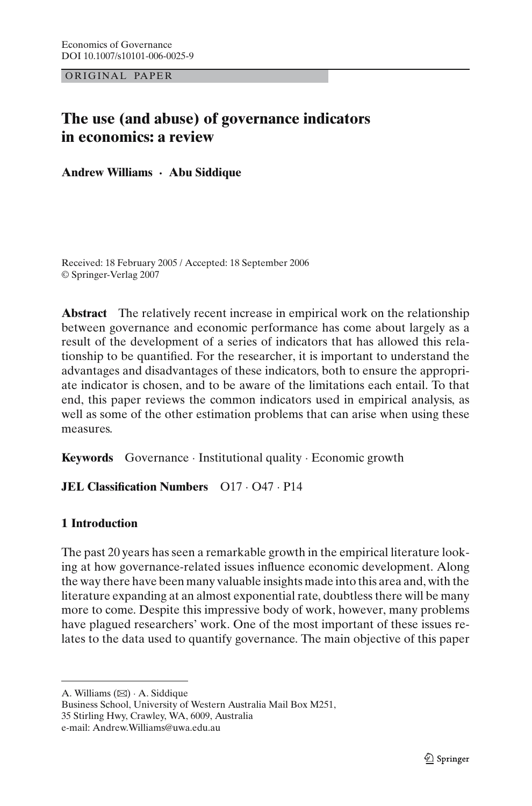OR IG INAL PAPER

# **The use (and abuse) of governance indicators in economics: a review**

**Andrew Williams · Abu Siddique**

Received: 18 February 2005 / Accepted: 18 September 2006 © Springer-Verlag 2007

**Abstract** The relatively recent increase in empirical work on the relationship between governance and economic performance has come about largely as a result of the development of a series of indicators that has allowed this relationship to be quantified. For the researcher, it is important to understand the advantages and disadvantages of these indicators, both to ensure the appropriate indicator is chosen, and to be aware of the limitations each entail. To that end, this paper reviews the common indicators used in empirical analysis, as well as some of the other estimation problems that can arise when using these measures.

**Keywords** Governance · Institutional quality · Economic growth

#### **JEL Classification Numbers**  $O17 \cdot O47 \cdot P14$

#### **1 Introduction**

The past 20 years has seen a remarkable growth in the empirical literature looking at how governance-related issues influence economic development. Along the way there have been many valuable insights made into this area and, with the literature expanding at an almost exponential rate, doubtless there will be many more to come. Despite this impressive body of work, however, many problems have plagued researchers' work. One of the most important of these issues relates to the data used to quantify governance. The main objective of this paper

A. Williams  $(\boxtimes)$  · A. Siddique

Business School, University of Western Australia Mail Box M251, 35 Stirling Hwy, Crawley, WA, 6009, Australia e-mail: Andrew.Williams@uwa.edu.au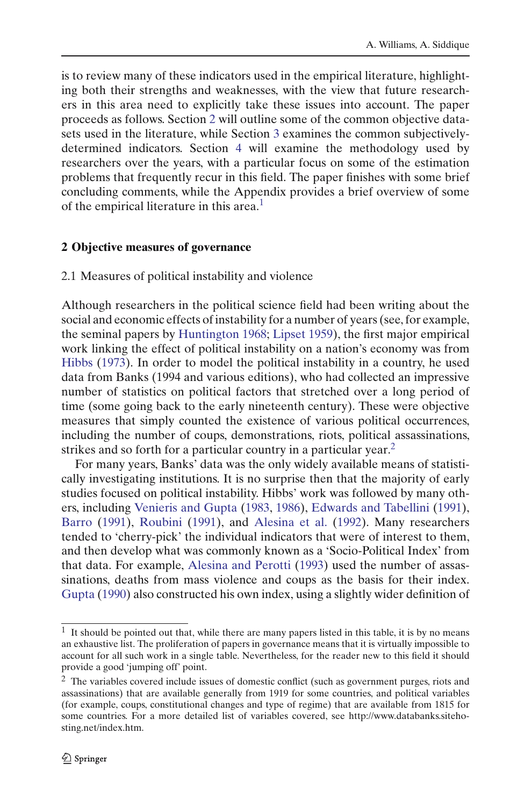is to review many of these indicators used in the empirical literature, highlighting both their strengths and weaknesses, with the view that future researchers in this area need to explicitly take these issues into account. The paper proceeds as follows. Section [2](#page-1-0) will outline some of the common objective datasets used in the literature, while Section [3](#page-5-0) examines the common subjectivelydetermined indicators. Section [4](#page-18-0) will examine the methodology used by researchers over the years, with a particular focus on some of the estimation problems that frequently recur in this field. The paper finishes with some brief concluding comments, while the Appendix provides a brief overview of some of the empirical literature in this area.<sup>[1](#page-1-1)</sup>

#### <span id="page-1-0"></span>**2 Objective measures of governance**

#### 2.1 Measures of political instability and violence

Although researchers in the political science field had been writing about the social and economic effects of instability for a number of years (see, for example, the seminal papers by [Huntington 1968](#page-42-0); [Lipset 1959](#page-42-1)), the first major empirical work linking the effect of political instability on a nation's economy was from [Hibbs](#page-41-0) [\(1973\)](#page-41-0). In order to model the political instability in a country, he used data from Banks (1994 and various editions), who had collected an impressive number of statistics on political factors that stretched over a long period of time (some going back to the early nineteenth century). These were objective measures that simply counted the existence of various political occurrences, including the number of coups, demonstrations, riots, political assassinations, strikes and so forth for a particular country in a particular year.<sup>[2](#page-1-2)</sup>

For many years, Banks' data was the only widely available means of statistically investigating institutions. It is no surprise then that the majority of early studies focused on political instability. Hibbs' work was followed by many others, including [Venieris and Gupta](#page-44-0) [\(1983,](#page-44-0) [1986](#page-44-1)), [Edwards and Tabellini](#page-41-1) [\(1991\)](#page-41-1), [Barro](#page-40-0) [\(1991](#page-40-0)), [Roubini](#page-43-0) [\(1991\)](#page-43-0), and [Alesina et al.](#page-40-1) [\(1992\)](#page-40-1). Many researchers tended to 'cherry-pick' the individual indicators that were of interest to them, and then develop what was commonly known as a 'Socio-Political Index' from that data. For example, [Alesina and Perotti](#page-40-2) [\(1993](#page-40-2)) used the number of assassinations, deaths from mass violence and coups as the basis for their index. [Gupta](#page-41-2) [\(1990](#page-41-2)) also constructed his own index, using a slightly wider definition of

<span id="page-1-1"></span> $<sup>1</sup>$  It should be pointed out that, while there are many papers listed in this table, it is by no means</sup> an exhaustive list. The proliferation of papers in governance means that it is virtually impossible to account for all such work in a single table. Nevertheless, for the reader new to this field it should provide a good 'jumping off' point.

<span id="page-1-2"></span> $2$  The variables covered include issues of domestic conflict (such as government purges, riots and assassinations) that are available generally from 1919 for some countries, and political variables (for example, coups, constitutional changes and type of regime) that are available from 1815 for some countries. For a more detailed list of variables covered, see http://www.databanks.sitehosting.net/index.htm.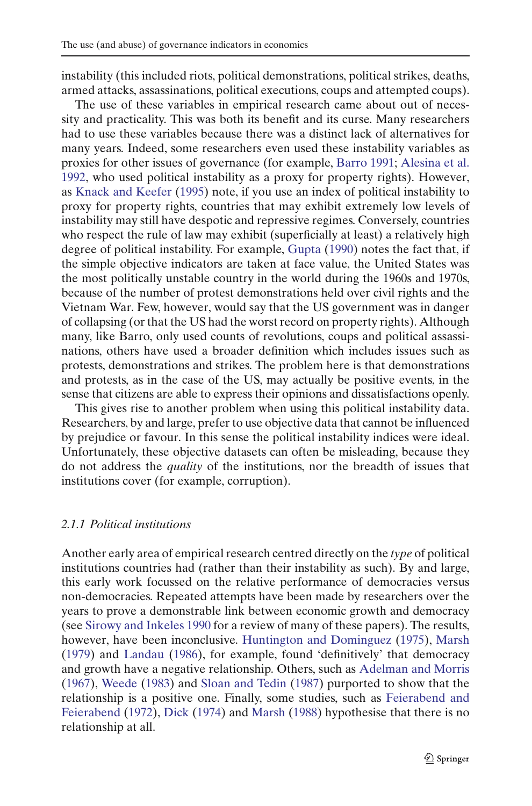instability (this included riots, political demonstrations, political strikes, deaths, armed attacks, assassinations, political executions, coups and attempted coups).

The use of these variables in empirical research came about out of necessity and practicality. This was both its benefit and its curse. Many researchers had to use these variables because there was a distinct lack of alternatives for many years. Indeed, some researchers even used these instability variables as proxies for other issues of governance (for example, [Barro 1991;](#page-40-0) [Alesina et al.](#page-40-1) [1992,](#page-40-1) who used political instability as a proxy for property rights). However, as [Knack and Keefer](#page-42-2) [\(1995\)](#page-42-2) note, if you use an index of political instability to proxy for property rights, countries that may exhibit extremely low levels of instability may still have despotic and repressive regimes. Conversely, countries who respect the rule of law may exhibit (superficially at least) a relatively high degree of political instability. For example, [Gupta](#page-41-2) [\(1990\)](#page-41-2) notes the fact that, if the simple objective indicators are taken at face value, the United States was the most politically unstable country in the world during the 1960s and 1970s, because of the number of protest demonstrations held over civil rights and the Vietnam War. Few, however, would say that the US government was in danger of collapsing (or that the US had the worst record on property rights). Although many, like Barro, only used counts of revolutions, coups and political assassinations, others have used a broader definition which includes issues such as protests, demonstrations and strikes. The problem here is that demonstrations and protests, as in the case of the US, may actually be positive events, in the sense that citizens are able to express their opinions and dissatisfactions openly.

This gives rise to another problem when using this political instability data. Researchers, by and large, prefer to use objective data that cannot be influenced by prejudice or favour. In this sense the political instability indices were ideal. Unfortunately, these objective datasets can often be misleading, because they do not address the *quality* of the institutions, nor the breadth of issues that institutions cover (for example, corruption).

### *2.1.1 Political institutions*

Another early area of empirical research centred directly on the *type* of political institutions countries had (rather than their instability as such). By and large, this early work focussed on the relative performance of democracies versus non-democracies. Repeated attempts have been made by researchers over the years to prove a demonstrable link between economic growth and democracy (see [Sirowy and Inkeles 1990](#page-43-1) for a review of many of these papers). The results, however, have been inconclusive. [Huntington and Dominguez](#page-42-3) [\(1975\)](#page-42-3), [Marsh](#page-42-4) [\(1979\)](#page-42-4) and [Landau](#page-42-5) [\(1986](#page-42-5)), for example, found 'definitively' that democracy and growth have a negative relationship. Others, such as [Adelman and Morris](#page-40-3) [\(1967\)](#page-40-3), [Weede](#page-44-2) [\(1983](#page-44-2)) and [Sloan and Tedin](#page-43-2) [\(1987\)](#page-43-2) purported to show that the relationshi[p](#page-41-3) [is](#page-41-3) [a](#page-41-3) [positive](#page-41-3) [one.](#page-41-3) [Finally,](#page-41-3) [some](#page-41-3) [studies,](#page-41-3) [such](#page-41-3) [as](#page-41-3) Feierabend and Feierabend [\(1972](#page-41-3)), [Dick](#page-41-4) [\(1974\)](#page-41-4) and [Marsh](#page-42-6) [\(1988](#page-42-6)) hypothesise that there is no relationship at all.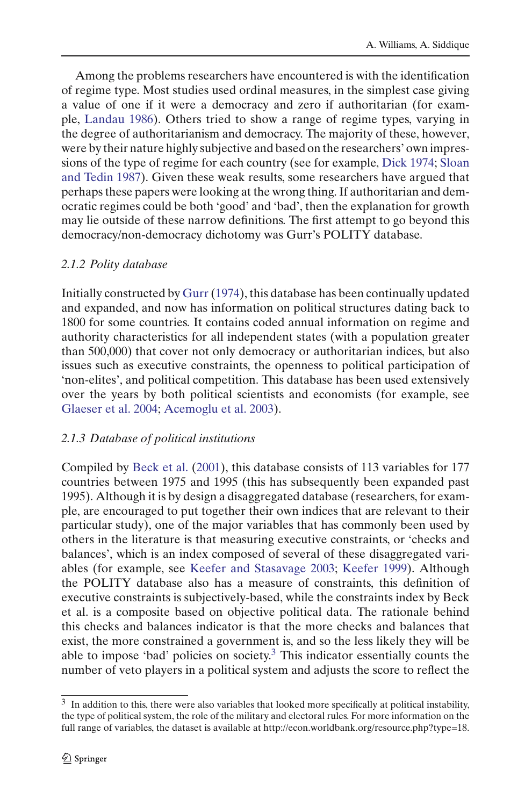Among the problems researchers have encountered is with the identification of regime type. Most studies used ordinal measures, in the simplest case giving a value of one if it were a democracy and zero if authoritarian (for example, [Landau 1986\)](#page-42-5). Others tried to show a range of regime types, varying in the degree of authoritarianism and democracy. The majority of these, however, were by their nature highly subjective and based on the researchers' own impressions of t[he](#page-43-2) [type](#page-43-2) [of](#page-43-2) [regime](#page-43-2) [for](#page-43-2) [each](#page-43-2) [country](#page-43-2) [\(see](#page-43-2) [for](#page-43-2) [example,](#page-43-2) [Dick 1974;](#page-41-4) Sloan and Tedin [1987](#page-43-2)). Given these weak results, some researchers have argued that perhaps these papers were looking at the wrong thing. If authoritarian and democratic regimes could be both 'good' and 'bad', then the explanation for growth may lie outside of these narrow definitions. The first attempt to go beyond this democracy/non-democracy dichotomy was Gurr's POLITY database.

### *2.1.2 Polity database*

Initially constructed by [Gurr\(1974](#page-41-5)), this database has been continually updated and expanded, and now has information on political structures dating back to 1800 for some countries. It contains coded annual information on regime and authority characteristics for all independent states (with a population greater than 500,000) that cover not only democracy or authoritarian indices, but also issues such as executive constraints, the openness to political participation of 'non-elites', and political competition. This database has been used extensively over the years by both political scientists and economists (for example, see [Glaeser et al. 2004](#page-41-6); [Acemoglu et al. 2003](#page-40-4)).

#### *2.1.3 Database of political institutions*

Compiled by [Beck et al.](#page-40-5) [\(2001](#page-40-5)), this database consists of 113 variables for 177 countries between 1975 and 1995 (this has subsequently been expanded past 1995). Although it is by design a disaggregated database (researchers, for example, are encouraged to put together their own indices that are relevant to their particular study), one of the major variables that has commonly been used by others in the literature is that measuring executive constraints, or 'checks and balances', which is an index composed of several of these disaggregated variables (for example, see [Keefer and Stasavage 2003;](#page-42-7) [Keefer 1999](#page-42-8)). Although the POLITY database also has a measure of constraints, this definition of executive constraints is subjectively-based, while the constraints index by Beck et al. is a composite based on objective political data. The rationale behind this checks and balances indicator is that the more checks and balances that exist, the more constrained a government is, and so the less likely they will be able to impose 'bad' policies on society.[3](#page-3-0) This indicator essentially counts the number of veto players in a political system and adjusts the score to reflect the

<span id="page-3-0"></span><sup>&</sup>lt;sup>3</sup> In addition to this, there were also variables that looked more specifically at political instability, the type of political system, the role of the military and electoral rules. For more information on the full range of variables, the dataset is available at http://econ.worldbank.org/resource.php?type=18.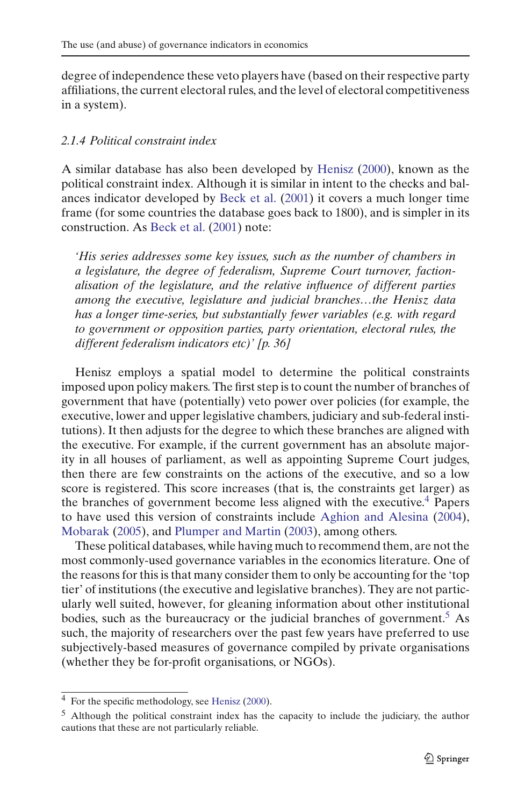degree of independence these veto players have (based on their respective party affiliations, the current electoral rules, and the level of electoral competitiveness in a system).

# *2.1.4 Political constraint index*

A similar database has also been developed by [Henisz](#page-41-7) [\(2000](#page-41-7)), known as the political constraint index. Although it is similar in intent to the checks and balances indicator developed by [Beck et al.](#page-40-5) [\(2001](#page-40-5)) it covers a much longer time frame (for some countries the database goes back to 1800), and is simpler in its construction. As [Beck et al.](#page-40-5) [\(2001](#page-40-5)) note:

*'His series addresses some key issues, such as the number of chambers in a legislature, the degree of federalism, Supreme Court turnover, factionalisation of the legislature, and the relative influence of different parties among the executive, legislature and judicial branches…the Henisz data has a longer time-series, but substantially fewer variables (e.g. with regard to government or opposition parties, party orientation, electoral rules, the different federalism indicators etc)' [p. 36]*

Henisz employs a spatial model to determine the political constraints imposed upon policy makers. The first step is to count the number of branches of government that have (potentially) veto power over policies (for example, the executive, lower and upper legislative chambers, judiciary and sub-federal institutions). It then adjusts for the degree to which these branches are aligned with the executive. For example, if the current government has an absolute majority in all houses of parliament, as well as appointing Supreme Court judges, then there are few constraints on the actions of the executive, and so a low score is registered. This score increases (that is, the constraints get larger) as the branches of government become less aligned with the executive.<sup>4</sup> Papers to have used this version of constraints include [Aghion and Alesina](#page-40-6) [\(2004\)](#page-40-6), [Mobarak](#page-43-3) [\(2005\)](#page-43-3), and [Plumper and Martin](#page-43-4) [\(2003\)](#page-43-4), among others.

These political databases, while having much to recommend them, are not the most commonly-used governance variables in the economics literature. One of the reasons for this is that many consider them to only be accounting for the 'top tier' of institutions (the executive and legislative branches). They are not particularly well suited, however, for gleaning information about other institutional bodies, such as the bureaucracy or the judicial branches of government.<sup>[5](#page-4-1)</sup> As such, the majority of researchers over the past few years have preferred to use subjectively-based measures of governance compiled by private organisations (whether they be for-profit organisations, or NGOs).

<sup>4</sup> For the specific methodology, see [Henisz](#page-41-7) [\(2000\)](#page-41-7).

<span id="page-4-1"></span><span id="page-4-0"></span><sup>5</sup> Although the political constraint index has the capacity to include the judiciary, the author cautions that these are not particularly reliable.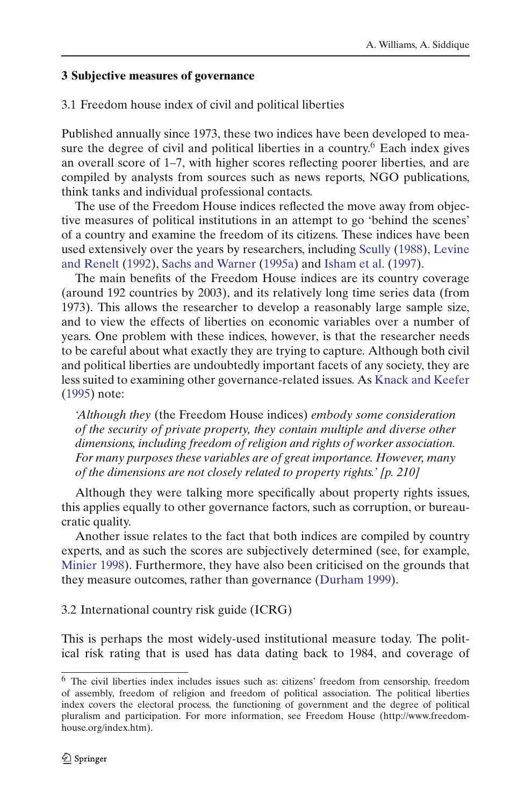#### <span id="page-5-0"></span>**3 Subjective measures of governance**

#### 3.1 Freedom house index of civil and political liberties

Published annually since 1973, these two indices have been developed to mea-sure the degree of civil and political liberties in a country.<sup>[6](#page-5-1)</sup> Each index gives an overall score of 1–7, with higher scores reflecting poorer liberties, and are compiled by analysts from sources such as news reports, NGO publications, think tanks and individual professional contacts.

The use of the Freedom House indices reflected the move away from objective measures of political institutions in an attempt to go 'behind the scenes' of a country and examine the freedom of its citizens. These indices have been used exten[sively](#page-42-9) [over](#page-42-9) [the](#page-42-9) [years](#page-42-9) [by](#page-42-9) [researchers,](#page-42-9) [including](#page-42-9) [Scully](#page-43-5) [\(1988](#page-43-5)), Levine and Renelt [\(1992\)](#page-42-9), [Sachs and Warner](#page-43-6) [\(1995a\)](#page-43-6) and [Isham et al.](#page-42-10) [\(1997](#page-42-10)).

The main benefits of the Freedom House indices are its country coverage (around 192 countries by 2003), and its relatively long time series data (from 1973). This allows the researcher to develop a reasonably large sample size, and to view the effects of liberties on economic variables over a number of years. One problem with these indices, however, is that the researcher needs to be careful about what exactly they are trying to capture. Although both civil and political liberties are undoubtedly important facets of any society, they are less suited to examining other governance-related issues. As [Knack and Keefer](#page-42-2) [\(1995\)](#page-42-2) note:

*'Although they* (the Freedom House indices) *embody some consideration of the security of private property, they contain multiple and diverse other dimensions, including freedom of religion and rights of worker association. For many purposes these variables are of great importance. However, many of the dimensions are not closely related to property rights.' [p. 210]*

Although they were talking more specifically about property rights issues, this applies equally to other governance factors, such as corruption, or bureaucratic quality.

Another issue relates to the fact that both indices are compiled by country experts, and as such the scores are subjectively determined (see, for example, [Minier 1998\)](#page-42-11). Furthermore, they have also been criticised on the grounds that they measure outcomes, rather than governance [\(Durham 1999](#page-41-8)).

3.2 International country risk guide (ICRG)

This is perhaps the most widely-used institutional measure today. The political risk rating that is used has data dating back to 1984, and coverage of

<span id="page-5-1"></span><sup>6</sup> The civil liberties index includes issues such as: citizens' freedom from censorship, freedom of assembly, freedom of religion and freedom of political association. The political liberties index covers the electoral process, the functioning of government and the degree of political pluralism and participation. For more information, see Freedom House (http://www.freedomhouse.org/index.htm).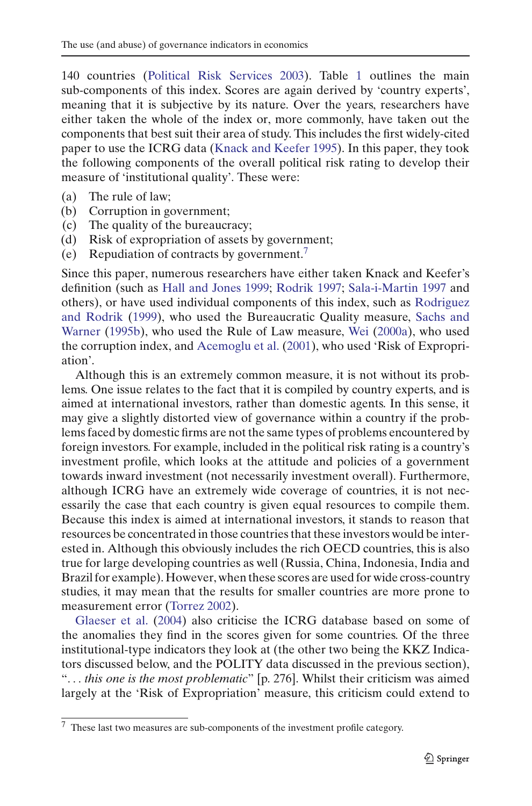140 countries [\(Political Risk Services 2003](#page-43-7)). Table [1](#page-7-0) outlines the main sub-components of this index. Scores are again derived by 'country experts', meaning that it is subjective by its nature. Over the years, researchers have either taken the whole of the index or, more commonly, have taken out the components that best suit their area of study. This includes the first widely-cited paper to use the ICRG data [\(Knack and Keefer 1995\)](#page-42-2). In this paper, they took the following components of the overall political risk rating to develop their measure of 'institutional quality'. These were:

- (a) The rule of law;
- (b) Corruption in government;
- (c) The quality of the bureaucracy;
- (d) Risk of expropriation of assets by government;
- (e) Repudiation of contracts by government.[7](#page-6-0)

Since this paper, numerous researchers have either taken Knack and Keefer's definition (such as [Hall and Jones 1999](#page-41-9); [Rodrik 1997](#page-43-8); [Sala-i-Martin 1997](#page-43-9) and others), or [have](#page-43-10) [used](#page-43-10) [individual](#page-43-10) [components](#page-43-10) [of](#page-43-10) [this](#page-43-10) [index,](#page-43-10) [such](#page-43-10) [as](#page-43-10) Rodriguez and Rodrik [\(1999](#page-43-10)[\),](#page-43-11) [who](#page-43-11) [used](#page-43-11) [the](#page-43-11) [Bureaucratic](#page-43-11) [Quality](#page-43-11) [measure,](#page-43-11) Sachs and Warner [\(1995b\)](#page-43-11), who used the Rule of Law measure, [Wei](#page-44-3) [\(2000a\)](#page-44-3), who used the corruption index, and [Acemoglu et al.](#page-40-7) [\(2001](#page-40-7)), who used 'Risk of Expropriation'.

Although this is an extremely common measure, it is not without its problems. One issue relates to the fact that it is compiled by country experts, and is aimed at international investors, rather than domestic agents. In this sense, it may give a slightly distorted view of governance within a country if the problems faced by domestic firms are not the same types of problems encountered by foreign investors. For example, included in the political risk rating is a country's investment profile, which looks at the attitude and policies of a government towards inward investment (not necessarily investment overall). Furthermore, although ICRG have an extremely wide coverage of countries, it is not necessarily the case that each country is given equal resources to compile them. Because this index is aimed at international investors, it stands to reason that resources be concentrated in those countries that these investors would be interested in. Although this obviously includes the rich OECD countries, this is also true for large developing countries as well (Russia, China, Indonesia, India and Brazil for example). However, when these scores are used for wide cross-country studies, it may mean that the results for smaller countries are more prone to [measurement](#page-41-6) [err](#page-41-6)or [\(Torrez 2002](#page-43-12)).

Glaeser et al. [\(2004](#page-41-6)) also criticise the ICRG database based on some of the anomalies they find in the scores given for some countries. Of the three institutional-type indicators they look at (the other two being the KKZ Indicators discussed below, and the POLITY data discussed in the previous section), "*... this one is the most problematic*" [p. 276]. Whilst their criticism was aimed largely at the 'Risk of Expropriation' measure, this criticism could extend to

<span id="page-6-0"></span><sup>7</sup> These last two measures are sub-components of the investment profile category.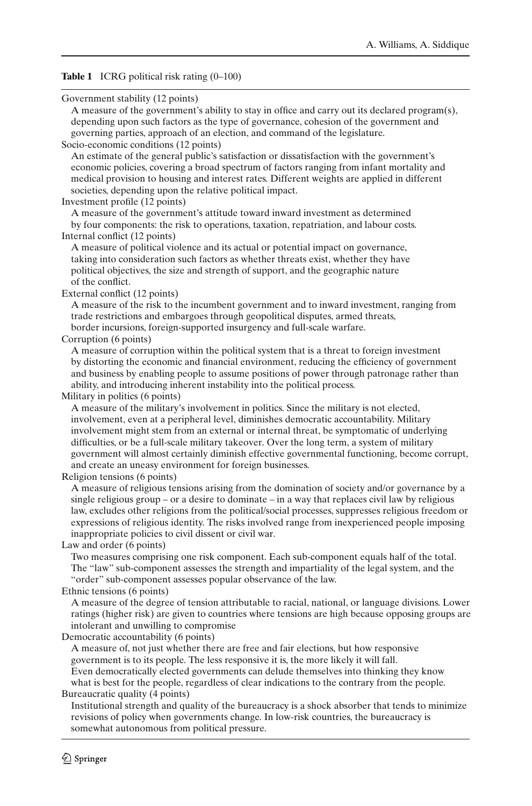<span id="page-7-0"></span>**Table 1** ICRG political risk rating  $(0-100)$ 

```
Government stability (12 points)
```
A measure of the government's ability to stay in office and carry out its declared program(s), depending upon such factors as the type of governance, cohesion of the government and governing parties, approach of an election, and command of the legislature.

Socio-economic conditions (12 points)

An estimate of the general public's satisfaction or dissatisfaction with the government's economic policies, covering a broad spectrum of factors ranging from infant mortality and medical provision to housing and interest rates. Different weights are applied in different societies, depending upon the relative political impact.

Investment profile (12 points)

A measure of the government's attitude toward inward investment as determined by four components: the risk to operations, taxation, repatriation, and labour costs. Internal conflict (12 points)

A measure of political violence and its actual or potential impact on governance, taking into consideration such factors as whether threats exist, whether they have political objectives, the size and strength of support, and the geographic nature of the conflict.

External conflict (12 points)

A measure of the risk to the incumbent government and to inward investment, ranging from trade restrictions and embargoes through geopolitical disputes, armed threats, border incursions, foreign-supported insurgency and full-scale warfare.

Corruption (6 points)

A measure of corruption within the political system that is a threat to foreign investment by distorting the economic and financial environment, reducing the efficiency of government and business by enabling people to assume positions of power through patronage rather than ability, and introducing inherent instability into the political process.

Military in politics (6 points)

A measure of the military's involvement in politics. Since the military is not elected, involvement, even at a peripheral level, diminishes democratic accountability. Military involvement might stem from an external or internal threat, be symptomatic of underlying difficulties, or be a full-scale military takeover. Over the long term, a system of military government will almost certainly diminish effective governmental functioning, become corrupt, and create an uneasy environment for foreign businesses.

Religion tensions (6 points)

A measure of religious tensions arising from the domination of society and/or governance by a single religious group – or a desire to dominate – in a way that replaces civil law by religious law, excludes other religions from the political/social processes, suppresses religious freedom or expressions of religious identity. The risks involved range from inexperienced people imposing inappropriate policies to civil dissent or civil war.

Law and order (6 points)

Two measures comprising one risk component. Each sub-component equals half of the total. The "law" sub-component assesses the strength and impartiality of the legal system, and the "order" sub-component assesses popular observance of the law.

Ethnic tensions (6 points)

A measure of the degree of tension attributable to racial, national, or language divisions. Lower ratings (higher risk) are given to countries where tensions are high because opposing groups are intolerant and unwilling to compromise

Democratic accountability (6 points)

A measure of, not just whether there are free and fair elections, but how responsive government is to its people. The less responsive it is, the more likely it will fall.

Even democratically elected governments can delude themselves into thinking they know what is best for the people, regardless of clear indications to the contrary from the people. Bureaucratic quality (4 points)

Institutional strength and quality of the bureaucracy is a shock absorber that tends to minimize revisions of policy when governments change. In low-risk countries, the bureaucracy is somewhat autonomous from political pressure.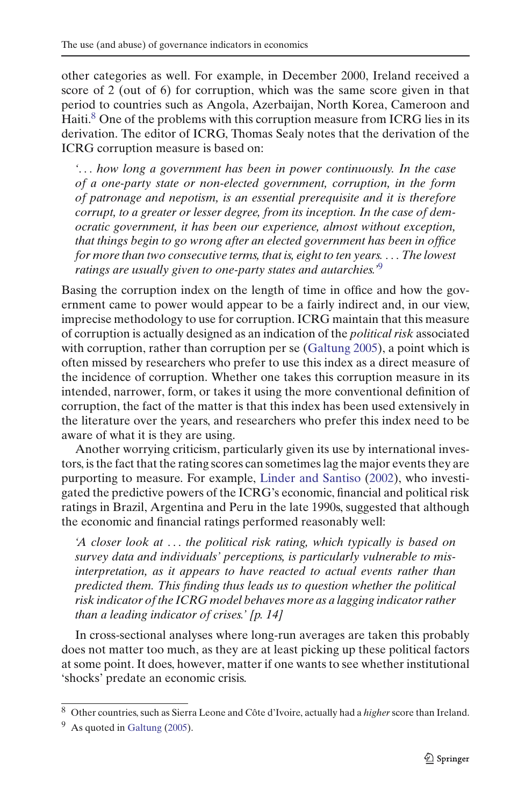other categories as well. For example, in December 2000, Ireland received a score of 2 (out of 6) for corruption, which was the same score given in that period to countries such as Angola, Azerbaijan, North Korea, Cameroon and Haiti.[8](#page-8-0) One of the problems with this corruption measure from ICRG lies in its derivation. The editor of ICRG, Thomas Sealy notes that the derivation of the ICRG corruption measure is based on:

*'... how long a government has been in power continuously. In the case of a one-party state or non-elected government, corruption, in the form of patronage and nepotism, is an essential prerequisite and it is therefore corrupt, to a greater or lesser degree, from its inception. In the case of democratic government, it has been our experience, almost without exception, that things begin to go wrong after an elected government has been in office for more than two consecutive terms, that is, eight to ten years. ... The lowest ratings are usually given to one-party states and autarchies.'*[9](#page-8-1)

Basing the corruption index on the length of time in office and how the government came to power would appear to be a fairly indirect and, in our view, imprecise methodology to use for corruption. ICRG maintain that this measure of corruption is actually designed as an indication of the *political risk* associated with corruption, rather than corruption per se [\(Galtung 2005](#page-41-10)), a point which is often missed by researchers who prefer to use this index as a direct measure of the incidence of corruption. Whether one takes this corruption measure in its intended, narrower, form, or takes it using the more conventional definition of corruption, the fact of the matter is that this index has been used extensively in the literature over the years, and researchers who prefer this index need to be aware of what it is they are using.

Another worrying criticism, particularly given its use by international investors, is the fact that the rating scores can sometimes lag the major events they are purporting to measure. For example, [Linder and Santiso](#page-42-12) [\(2002](#page-42-12)), who investigated the predictive powers of the ICRG's economic, financial and political risk ratings in Brazil, Argentina and Peru in the late 1990s, suggested that although the economic and financial ratings performed reasonably well:

*'A closer look at ... the political risk rating, which typically is based on survey data and individuals' perceptions, is particularly vulnerable to misinterpretation, as it appears to have reacted to actual events rather than predicted them. This finding thus leads us to question whether the political risk indicator of the ICRG model behaves more as a lagging indicator rather than a leading indicator of crises.' [p. 14]*

In cross-sectional analyses where long-run averages are taken this probably does not matter too much, as they are at least picking up these political factors at some point. It does, however, matter if one wants to see whether institutional 'shocks' predate an economic crisis.

<sup>8</sup> Other countries, such as Sierra Leone and Côte d'Ivoire, actually had a *higher* score than Ireland.

<span id="page-8-1"></span><span id="page-8-0"></span><sup>&</sup>lt;sup>9</sup> As quoted in [Galtung](#page-41-10) [\(2005\)](#page-41-10).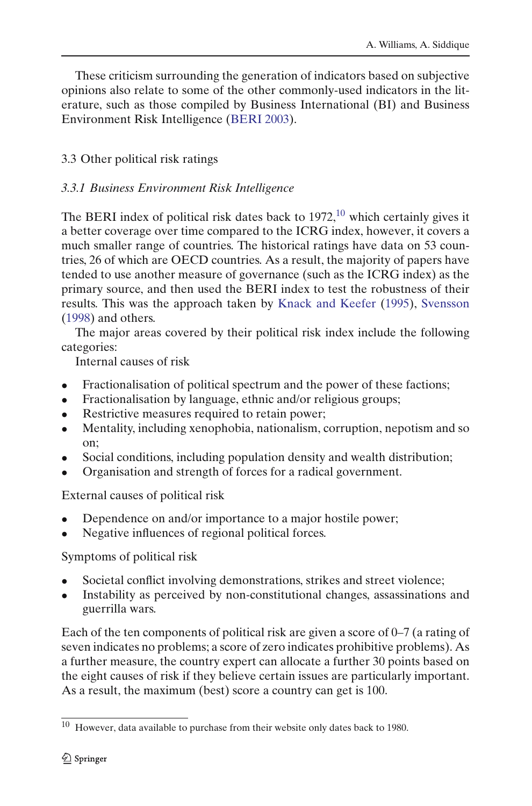These criticism surrounding the generation of indicators based on subjective opinions also relate to some of the other commonly-used indicators in the literature, such as those compiled by Business International (BI) and Business Environment Risk Intelligence [\(BERI 2003\)](#page-40-8).

# 3.3 Other political risk ratings

# *3.3.1 Business Environment Risk Intelligence*

The BERI index of political risk dates back to  $1972$ ,<sup>[10](#page-9-0)</sup> which certainly gives it a better coverage over time compared to the ICRG index, however, it covers a much smaller range of countries. The historical ratings have data on 53 countries, 26 of which are OECD countries. As a result, the majority of papers have tended to use another measure of governance (such as the ICRG index) as the primary source, and then used the BERI index to test the robustness of their results. This was the approach taken by [Knack and Keefer](#page-42-2) [\(1995](#page-42-2)), [Svensson](#page-43-13) [\(1998\)](#page-43-13) and others.

The major areas covered by their political risk index include the following categories:

Internal causes of risk

- Fractionalisation of political spectrum and the power of these factions;
- Fractionalisation by language, ethnic and/or religious groups;
- Restrictive measures required to retain power;
- Mentality, including xenophobia, nationalism, corruption, nepotism and so on;
- Social conditions, including population density and wealth distribution;
- Organisation and strength of forces for a radical government.

External causes of political risk

- Dependence on and/or importance to a major hostile power;
- Negative influences of regional political forces.

Symptoms of political risk

- Societal conflict involving demonstrations, strikes and street violence;
- Instability as perceived by non-constitutional changes, assassinations and guerrilla wars.

Each of the ten components of political risk are given a score of 0–7 (a rating of seven indicates no problems; a score of zero indicates prohibitive problems). As a further measure, the country expert can allocate a further 30 points based on the eight causes of risk if they believe certain issues are particularly important. As a result, the maximum (best) score a country can get is 100.

<span id="page-9-0"></span> $10$  However, data available to purchase from their website only dates back to 1980.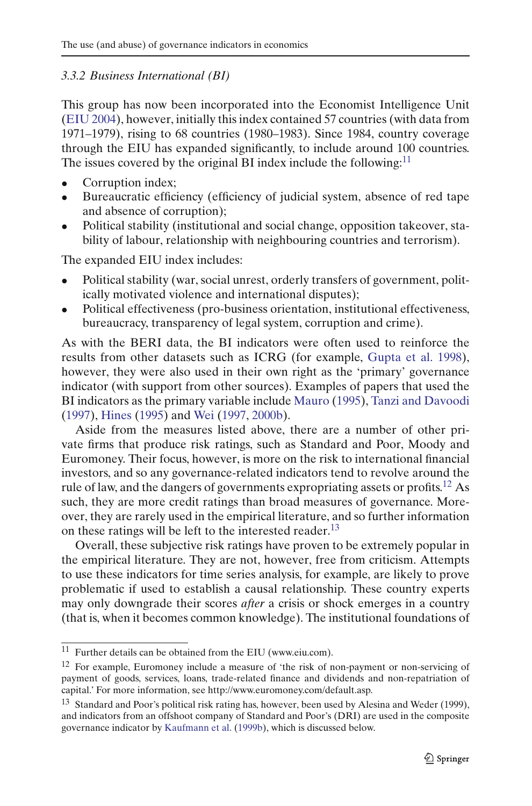### *3.3.2 Business International (BI)*

This group has now been incorporated into the Economist Intelligence Unit [\(EIU 2004\)](#page-41-11), however, initially this index contained 57 countries (with data from 1971–1979), rising to 68 countries (1980–1983). Since 1984, country coverage through the EIU has expanded significantly, to include around 100 countries. The issues covered by the original BI index include the following:<sup>[11](#page-10-0)</sup>

- Corruption index;
- Bureaucratic efficiency (efficiency of judicial system, absence of red tape and absence of corruption);
- Political stability (institutional and social change, opposition takeover, stability of labour, relationship with neighbouring countries and terrorism).

The expanded EIU index includes:

- Political stability (war, social unrest, orderly transfers of government, politically motivated violence and international disputes);
- Political effectiveness (pro-business orientation, institutional effectiveness, bureaucracy, transparency of legal system, corruption and crime).

As with the BERI data, the BI indicators were often used to reinforce the results from other datasets such as ICRG (for example, [Gupta et al. 1998\)](#page-41-12), however, they were also used in their own right as the 'primary' governance indicator (with support from other sources). Examples of papers that used the BI indicators as the primary variable include [Mauro](#page-42-13) [\(1995](#page-42-13)), [Tanzi and Davoodi](#page-43-14) [\(1997\)](#page-43-14), [Hines](#page-41-13) [\(1995](#page-41-13)) and [Wei](#page-44-4) [\(1997](#page-44-4), [2000b\)](#page-44-5).

Aside from the measures listed above, there are a number of other private firms that produce risk ratings, such as Standard and Poor, Moody and Euromoney. Their focus, however, is more on the risk to international financial investors, and so any governance-related indicators tend to revolve around the rule of law, and the dangers of governments expropriating assets or profits.<sup>12</sup> As such, they are more credit ratings than broad measures of governance. Moreover, they are rarely used in the empirical literature, and so further information on these ratings will be left to the interested reader.<sup>[13](#page-10-2)</sup>

Overall, these subjective risk ratings have proven to be extremely popular in the empirical literature. They are not, however, free from criticism. Attempts to use these indicators for time series analysis, for example, are likely to prove problematic if used to establish a causal relationship. These country experts may only downgrade their scores *after* a crisis or shock emerges in a country (that is, when it becomes common knowledge). The institutional foundations of

 $11$  Further details can be obtained from the EIU (www.eiu.com).

<span id="page-10-1"></span><span id="page-10-0"></span> $12$  For example, Euromoney include a measure of 'the risk of non-payment or non-servicing of payment of goods, services, loans, trade-related finance and dividends and non-repatriation of capital.' For more information, see http://www.euromoney.com/default.asp.

<span id="page-10-2"></span><sup>&</sup>lt;sup>13</sup> Standard and Poor's political risk rating has, however, been used by Alesina and Weder (1999), and indicators from an offshoot company of Standard and Poor's (DRI) are used in the composite governance indicator by [Kaufmann et al.](#page-42-14) [\(1999b](#page-42-14)), which is discussed below.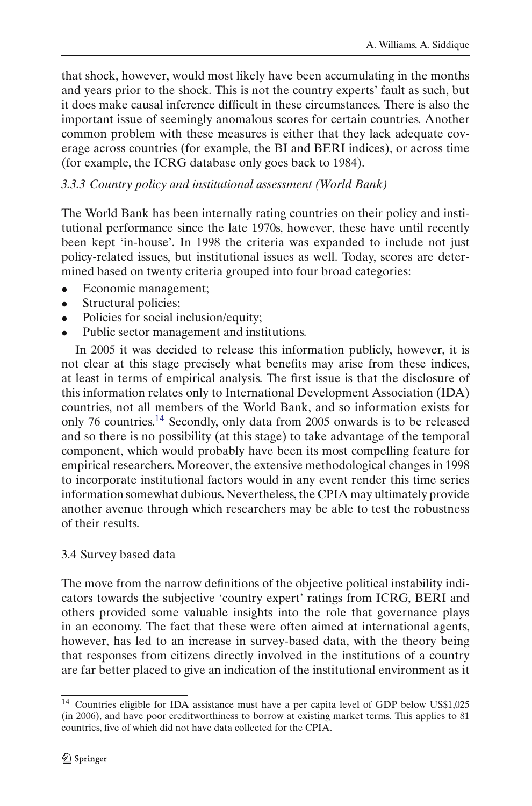that shock, however, would most likely have been accumulating in the months and years prior to the shock. This is not the country experts' fault as such, but it does make causal inference difficult in these circumstances. There is also the important issue of seemingly anomalous scores for certain countries. Another common problem with these measures is either that they lack adequate coverage across countries (for example, the BI and BERI indices), or across time (for example, the ICRG database only goes back to 1984).

# *3.3.3 Country policy and institutional assessment (World Bank)*

The World Bank has been internally rating countries on their policy and institutional performance since the late 1970s, however, these have until recently been kept 'in-house'. In 1998 the criteria was expanded to include not just policy-related issues, but institutional issues as well. Today, scores are determined based on twenty criteria grouped into four broad categories:

- Economic management;
- Structural policies;
- Policies for social inclusion/equity;
- Public sector management and institutions.

In 2005 it was decided to release this information publicly, however, it is not clear at this stage precisely what benefits may arise from these indices, at least in terms of empirical analysis. The first issue is that the disclosure of this information relates only to International Development Association (IDA) countries, not all members of the World Bank, and so information exists for only 76 countries.[14](#page-11-0) Secondly, only data from 2005 onwards is to be released and so there is no possibility (at this stage) to take advantage of the temporal component, which would probably have been its most compelling feature for empirical researchers. Moreover, the extensive methodological changes in 1998 to incorporate institutional factors would in any event render this time series information somewhat dubious. Nevertheless, the CPIA may ultimately provide another avenue through which researchers may be able to test the robustness of their results.

### 3.4 Survey based data

The move from the narrow definitions of the objective political instability indicators towards the subjective 'country expert' ratings from ICRG, BERI and others provided some valuable insights into the role that governance plays in an economy. The fact that these were often aimed at international agents, however, has led to an increase in survey-based data, with the theory being that responses from citizens directly involved in the institutions of a country are far better placed to give an indication of the institutional environment as it

<span id="page-11-0"></span><sup>14</sup> Countries eligible for IDA assistance must have a per capita level of GDP below US\$1,025 (in 2006), and have poor creditworthiness to borrow at existing market terms. This applies to 81 countries, five of which did not have data collected for the CPIA.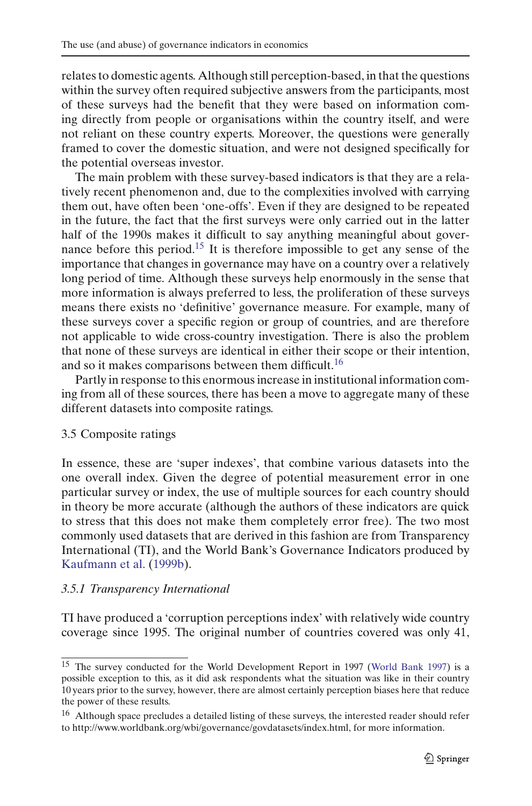relates to domestic agents. Although still perception-based, in that the questions within the survey often required subjective answers from the participants, most of these surveys had the benefit that they were based on information coming directly from people or organisations within the country itself, and were not reliant on these country experts. Moreover, the questions were generally framed to cover the domestic situation, and were not designed specifically for the potential overseas investor.

The main problem with these survey-based indicators is that they are a relatively recent phenomenon and, due to the complexities involved with carrying them out, have often been 'one-offs'. Even if they are designed to be repeated in the future, the fact that the first surveys were only carried out in the latter half of the 1990s makes it difficult to say anything meaningful about gover-nance before this period.<sup>[15](#page-12-0)</sup> It is therefore impossible to get any sense of the importance that changes in governance may have on a country over a relatively long period of time. Although these surveys help enormously in the sense that more information is always preferred to less, the proliferation of these surveys means there exists no 'definitive' governance measure. For example, many of these surveys cover a specific region or group of countries, and are therefore not applicable to wide cross-country investigation. There is also the problem that none of these surveys are identical in either their scope or their intention, and so it makes comparisons between them difficult.<sup>[16](#page-12-1)</sup>

Partly in response to this enormous increase in institutional information coming from all of these sources, there has been a move to aggregate many of these different datasets into composite ratings.

### 3.5 Composite ratings

In essence, these are 'super indexes', that combine various datasets into the one overall index. Given the degree of potential measurement error in one particular survey or index, the use of multiple sources for each country should in theory be more accurate (although the authors of these indicators are quick to stress that this does not make them completely error free). The two most commonly used datasets that are derived in this fashion are from Transparency International (TI), and the World Bank's Governance Indicators produced by [Kaufmann et al.](#page-42-14) [\(1999b](#page-42-14)).

### *3.5.1 Transparency International*

TI have produced a 'corruption perceptions index' with relatively wide country coverage since 1995. The original number of countries covered was only 41,

<span id="page-12-0"></span><sup>&</sup>lt;sup>15</sup> The survey conducted for the World Development Report in 1997 [\(World Bank 1997](#page-44-6)) is a possible exception to this, as it did ask respondents what the situation was like in their country 10 years prior to the survey, however, there are almost certainly perception biases here that reduce the power of these results.

<span id="page-12-1"></span><sup>&</sup>lt;sup>16</sup> Although space precludes a detailed listing of these surveys, the interested reader should refer to http://www.worldbank.org/wbi/governance/govdatasets/index.html, for more information.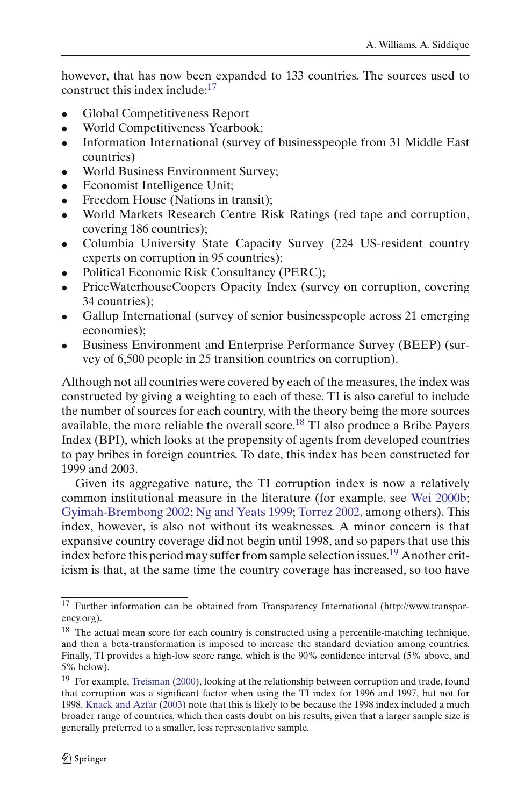however, that has now been expanded to 133 countries. The sources used to construct this index include: $17$ 

- Global Competitiveness Report
- World Competitiveness Yearbook;
- Information International (survey of businesspeople from 31 Middle East countries)
- World Business Environment Survey;
- Economist Intelligence Unit;
- Freedom House (Nations in transit);
- World Markets Research Centre Risk Ratings (red tape and corruption, covering 186 countries);
- Columbia University State Capacity Survey (224 US-resident country experts on corruption in 95 countries);
- Political Economic Risk Consultancy (PERC);
- PriceWaterhouseCoopers Opacity Index (survey on corruption, covering 34 countries);
- Gallup International (survey of senior businesspeople across 21 emerging economies);
- Business Environment and Enterprise Performance Survey (BEEP) (survey of 6,500 people in 25 transition countries on corruption).

Although not all countries were covered by each of the measures, the index was constructed by giving a weighting to each of these. TI is also careful to include the number of sources for each country, with the theory being the more sources available, the more reliable the overall score.<sup>18</sup> TI also produce a Bribe Payers Index (BPI), which looks at the propensity of agents from developed countries to pay bribes in foreign countries. To date, this index has been constructed for 1999 and 2003.

Given its aggregative nature, the TI corruption index is now a relatively common institutional measure in the literature (for example, see [Wei 2000b;](#page-44-5) [Gyimah-Brembong 2002](#page-41-14); [Ng and Yeats 1999;](#page-43-15) [Torrez 2002](#page-43-12), among others). This index, however, is also not without its weaknesses. A minor concern is that expansive country coverage did not begin until 1998, and so papers that use this index before this period may suffer from sample selection issues.<sup>19</sup> Another criticism is that, at the same time the country coverage has increased, so too have

<span id="page-13-0"></span><sup>17</sup> Further information can be obtained from Transparency International (http://www.transparency.org).

<span id="page-13-1"></span> $18$  The actual mean score for each country is constructed using a percentile-matching technique, and then a beta-transformation is imposed to increase the standard deviation among countries. Finally, TI provides a high-low score range, which is the 90% confidence interval (5% above, and 5% below).

<span id="page-13-2"></span><sup>&</sup>lt;sup>19</sup> For example, [Treisman](#page-43-16) [\(2000\)](#page-43-16), looking at the relationship between corruption and trade, found that corruption was a significant factor when using the TI index for 1996 and 1997, but not for 1998. [Knack and Azfar](#page-42-15) [\(2003\)](#page-42-15) note that this is likely to be because the 1998 index included a much broader range of countries, which then casts doubt on his results, given that a larger sample size is generally preferred to a smaller, less representative sample.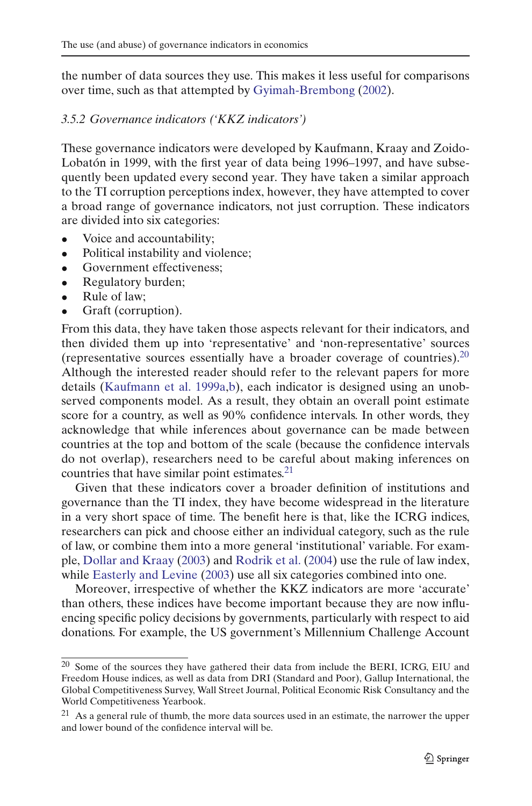the number of data sources they use. This makes it less useful for comparisons over time, such as that attempted by [Gyimah-Brembong](#page-41-14) [\(2002\)](#page-41-14).

# *3.5.2 Governance indicators ('KKZ indicators')*

These governance indicators were developed by Kaufmann, Kraay and Zoido-Lobatón in 1999, with the first year of data being 1996–1997, and have subsequently been updated every second year. They have taken a similar approach to the TI corruption perceptions index, however, they have attempted to cover a broad range of governance indicators, not just corruption. These indicators are divided into six categories:

- Voice and accountability;<br>• Political instability and view
- Political instability and violence:
- Government effectiveness:
- Regulatory burden;
- Rule of law;
- Graft (corruption).

From this data, they have taken those aspects relevant for their indicators, and then divided them up into 'representative' and 'non-representative' sources (representative sources essentially have a broader coverage of countries)[.20](#page-14-0) Although the interested reader should refer to the relevant papers for more details [\(Kaufmann et al. 1999a](#page-42-16)[,b](#page-42-14)), each indicator is designed using an unobserved components model. As a result, they obtain an overall point estimate score for a country, as well as 90% confidence intervals. In other words, they acknowledge that while inferences about governance can be made between countries at the top and bottom of the scale (because the confidence intervals do not overlap), researchers need to be careful about making inferences on countries that have similar point estimates.<sup>21</sup>

Given that these indicators cover a broader definition of institutions and governance than the TI index, they have become widespread in the literature in a very short space of time. The benefit here is that, like the ICRG indices, researchers can pick and choose either an individual category, such as the rule of law, or combine them into a more general 'institutional' variable. For example, [Dollar and Kraay](#page-41-15) [\(2003](#page-41-15)) and [Rodrik et al.](#page-43-17) [\(2004\)](#page-43-17) use the rule of law index, while [Easterly and Levine](#page-41-16) [\(2003\)](#page-41-16) use all six categories combined into one.

Moreover, irrespective of whether the KKZ indicators are more 'accurate' than others, these indices have become important because they are now influencing specific policy decisions by governments, particularly with respect to aid donations. For example, the US government's Millennium Challenge Account

<span id="page-14-0"></span><sup>&</sup>lt;sup>20</sup> Some of the sources they have gathered their data from include the BERI, ICRG, EIU and Freedom House indices, as well as data from DRI (Standard and Poor), Gallup International, the Global Competitiveness Survey, Wall Street Journal, Political Economic Risk Consultancy and the World Competitiveness Yearbook.

<span id="page-14-1"></span> $^{21}$  As a general rule of thumb, the more data sources used in an estimate, the narrower the upper and lower bound of the confidence interval will be.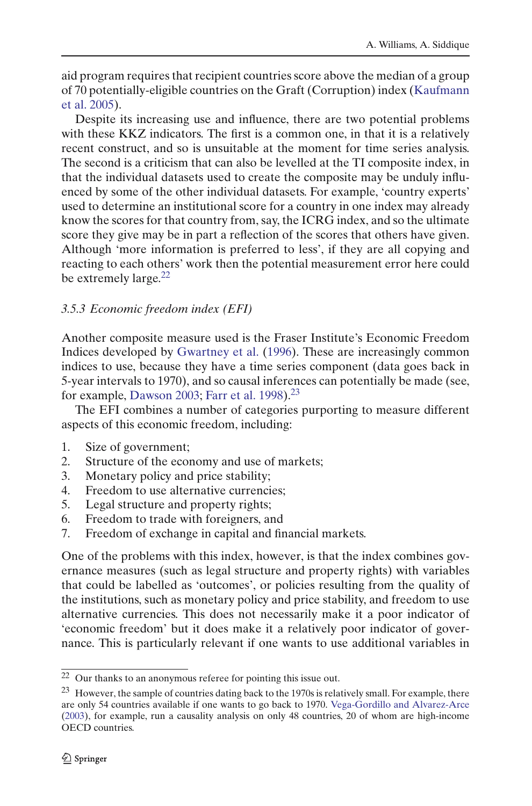aid program requires that recipient countries score above the median of a group of 70 [potentially-eligible](#page-42-17) [countries](#page-42-17) [on](#page-42-17) [the](#page-42-17) [Graft](#page-42-17) [\(Corruption\)](#page-42-17) [index](#page-42-17) [\(](#page-42-17)Kaufmann et al. [2005](#page-42-17)).

Despite its increasing use and influence, there are two potential problems with these KKZ indicators. The first is a common one, in that it is a relatively recent construct, and so is unsuitable at the moment for time series analysis. The second is a criticism that can also be levelled at the TI composite index, in that the individual datasets used to create the composite may be unduly influenced by some of the other individual datasets. For example, 'country experts' used to determine an institutional score for a country in one index may already know the scores for that country from, say, the ICRG index, and so the ultimate score they give may be in part a reflection of the scores that others have given. Although 'more information is preferred to less', if they are all copying and reacting to each others' work then the potential measurement error here could be extremely large.<sup>[22](#page-15-0)</sup>

### *3.5.3 Economic freedom index (EFI)*

Another composite measure used is the Fraser Institute's Economic Freedom Indices developed by [Gwartney et al.](#page-41-17) [\(1996\)](#page-41-17). These are increasingly common indices to use, because they have a time series component (data goes back in 5-year intervals to 1970), and so causal inferences can potentially be made (see, for example, [Dawson 2003;](#page-41-18) [Farr et al. 1998\)](#page-41-19).[23](#page-15-1)

The EFI combines a number of categories purporting to measure different aspects of this economic freedom, including:

- 1. Size of government;
- 2. Structure of the economy and use of markets;
- 3. Monetary policy and price stability;
- 4. Freedom to use alternative currencies;
- 5. Legal structure and property rights;
- 6. Freedom to trade with foreigners, and
- 7. Freedom of exchange in capital and financial markets.

One of the problems with this index, however, is that the index combines governance measures (such as legal structure and property rights) with variables that could be labelled as 'outcomes', or policies resulting from the quality of the institutions, such as monetary policy and price stability, and freedom to use alternative currencies. This does not necessarily make it a poor indicator of 'economic freedom' but it does make it a relatively poor indicator of governance. This is particularly relevant if one wants to use additional variables in

 $\overline{22}$  Our thanks to an anonymous referee for pointing this issue out.

<span id="page-15-1"></span><span id="page-15-0"></span><sup>23</sup> However, the sample of countries dating back to the 1970s is relatively small. For example, there are only 54 countries available if one wants to go back to 1970. [Vega-Gordillo and Alvarez-Arce](#page-43-18) [\(2003\)](#page-43-18), for example, run a causality analysis on only 48 countries, 20 of whom are high-income OECD countries.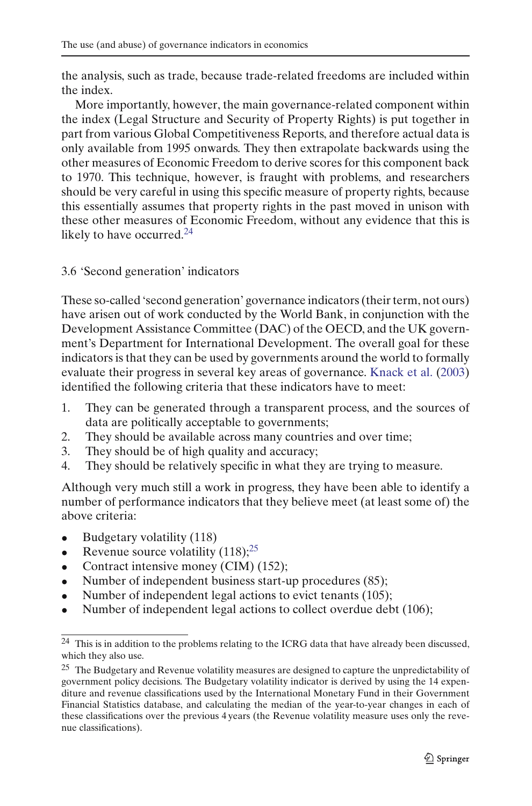the analysis, such as trade, because trade-related freedoms are included within the index.

More importantly, however, the main governance-related component within the index (Legal Structure and Security of Property Rights) is put together in part from various Global Competitiveness Reports, and therefore actual data is only available from 1995 onwards. They then extrapolate backwards using the other measures of Economic Freedom to derive scores for this component back to 1970. This technique, however, is fraught with problems, and researchers should be very careful in using this specific measure of property rights, because this essentially assumes that property rights in the past moved in unison with these other measures of Economic Freedom, without any evidence that this is likely to have occurred.<sup>[24](#page-16-0)</sup>

### 3.6 'Second generation' indicators

These so-called 'second generation' governance indicators (their term, not ours) have arisen out of work conducted by the World Bank, in conjunction with the Development Assistance Committee (DAC) of the OECD, and the UK government's Department for International Development. The overall goal for these indicators is that they can be used by governments around the world to formally evaluate their progress in several key areas of governance. [Knack et al.](#page-42-18) [\(2003](#page-42-18)) identified the following criteria that these indicators have to meet:

- 1. They can be generated through a transparent process, and the sources of data are politically acceptable to governments;
- 2. They should be available across many countries and over time;<br>3. They should be of high quality and accuracy:
- They should be of high quality and accuracy;
- 4. They should be relatively specific in what they are trying to measure.

Although very much still a work in progress, they have been able to identify a number of performance indicators that they believe meet (at least some of) the above criteria:

- 
- Budgetary volatility (118)<br>• Revenue source volatility Revenue source volatility  $(118)$ ;<sup>[25](#page-16-1)</sup>
- Contract intensive money (CIM) (152);
- Number of independent business start-up procedures (85);
- Number of independent legal actions to evict tenants (105);
- Number of independent legal actions to collect overdue debt (106);

<span id="page-16-0"></span><sup>24</sup> This is in addition to the problems relating to the ICRG data that have already been discussed, which they also use.

<span id="page-16-1"></span> $25$  The Budgetary and Revenue volatility measures are designed to capture the unpredictability of government policy decisions. The Budgetary volatility indicator is derived by using the 14 expenditure and revenue classifications used by the International Monetary Fund in their Government Financial Statistics database, and calculating the median of the year-to-year changes in each of these classifications over the previous 4 years (the Revenue volatility measure uses only the revenue classifications).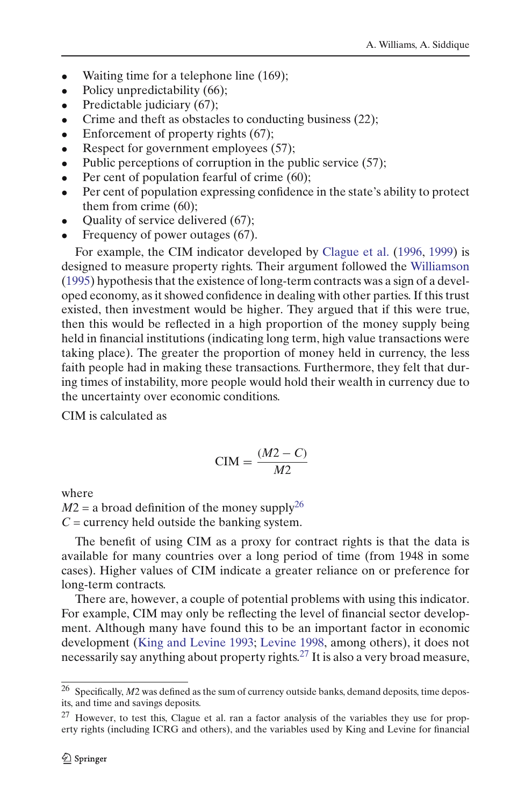- Waiting time for a telephone line (169);<br>• Policy unpredictability (66):
- Policy unpredictability (66);
- Predictable judiciary (67);
- Crime and theft as obstacles to conducting business (22);
- Enforcement of property rights (67);
- Respect for government employees (57);
- Public perceptions of corruption in the public service (57);
- Per cent of population fearful of crime (60);
- Per cent of population expressing confidence in the state's ability to protect them from crime (60);
- Quality of service delivered (67);
- Frequency of power outages (67).

For example, the CIM indicator developed by [Clague et al.](#page-40-9) [\(1996,](#page-40-9) [1999](#page-40-10)) is designed to measure property rights. Their argument followed the [Williamson](#page-44-7) [\(1995\)](#page-44-7) hypothesis that the existence of long-term contracts was a sign of a developed economy, as it showed confidence in dealing with other parties. If this trust existed, then investment would be higher. They argued that if this were true, then this would be reflected in a high proportion of the money supply being held in financial institutions (indicating long term, high value transactions were taking place). The greater the proportion of money held in currency, the less faith people had in making these transactions. Furthermore, they felt that during times of instability, more people would hold their wealth in currency due to the uncertainty over economic conditions.

CIM is calculated as

$$
CIM = \frac{(M2 - C)}{M2}
$$

where

 $M2$  = a broad definition of the money supply<sup>26</sup>  $C =$  currency held outside the banking system.

The benefit of using CIM as a proxy for contract rights is that the data is available for many countries over a long period of time (from 1948 in some cases). Higher values of CIM indicate a greater reliance on or preference for long-term contracts.

There are, however, a couple of potential problems with using this indicator. For example, CIM may only be reflecting the level of financial sector development. Although many have found this to be an important factor in economic development [\(King and Levine 1993;](#page-42-19) [Levine 1998,](#page-42-20) among others), it does not necessarily say anything about property rights.<sup>27</sup> It is also a very broad measure,

<span id="page-17-0"></span><sup>&</sup>lt;sup>26</sup> Specifically, *M*2 was defined as the sum of currency outside banks, demand deposits, time deposits, and time and savings deposits.

<span id="page-17-1"></span> $27$  However, to test this, Clague et al. ran a factor analysis of the variables they use for property rights (including ICRG and others), and the variables used by King and Levine for financial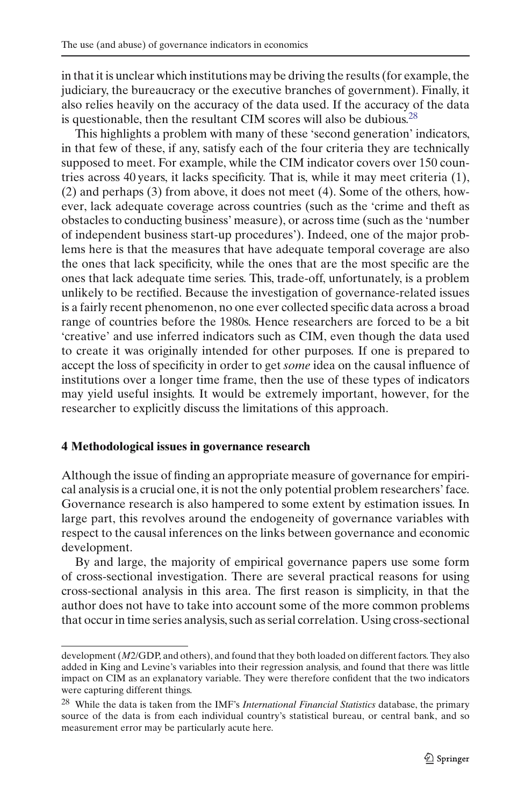in that it is unclear which institutions may be driving the results (for example, the judiciary, the bureaucracy or the executive branches of government). Finally, it also relies heavily on the accuracy of the data used. If the accuracy of the data is questionable, then the resultant CIM scores will also be dubious.<sup>28</sup>

This highlights a problem with many of these 'second generation' indicators, in that few of these, if any, satisfy each of the four criteria they are technically supposed to meet. For example, while the CIM indicator covers over 150 countries across 40 years, it lacks specificity. That is, while it may meet criteria (1), (2) and perhaps (3) from above, it does not meet (4). Some of the others, however, lack adequate coverage across countries (such as the 'crime and theft as obstacles to conducting business' measure), or across time (such as the 'number of independent business start-up procedures'). Indeed, one of the major problems here is that the measures that have adequate temporal coverage are also the ones that lack specificity, while the ones that are the most specific are the ones that lack adequate time series. This, trade-off, unfortunately, is a problem unlikely to be rectified. Because the investigation of governance-related issues is a fairly recent phenomenon, no one ever collected specific data across a broad range of countries before the 1980s. Hence researchers are forced to be a bit 'creative' and use inferred indicators such as CIM, even though the data used to create it was originally intended for other purposes. If one is prepared to accept the loss of specificity in order to get *some* idea on the causal influence of institutions over a longer time frame, then the use of these types of indicators may yield useful insights. It would be extremely important, however, for the researcher to explicitly discuss the limitations of this approach.

#### <span id="page-18-0"></span>**4 Methodological issues in governance research**

Although the issue of finding an appropriate measure of governance for empirical analysis is a crucial one, it is not the only potential problem researchers' face. Governance research is also hampered to some extent by estimation issues. In large part, this revolves around the endogeneity of governance variables with respect to the causal inferences on the links between governance and economic development.

By and large, the majority of empirical governance papers use some form of cross-sectional investigation. There are several practical reasons for using cross-sectional analysis in this area. The first reason is simplicity, in that the author does not have to take into account some of the more common problems that occur in time series analysis, such as serial correlation. Using cross-sectional

development (*M*2/GDP, and others), and found that they both loaded on different factors. They also added in King and Levine's variables into their regression analysis, and found that there was little impact on CIM as an explanatory variable. They were therefore confident that the two indicators were capturing different things.

<span id="page-18-1"></span><sup>28</sup> While the data is taken from the IMF's *International Financial Statistics* database, the primary source of the data is from each individual country's statistical bureau, or central bank, and so measurement error may be particularly acute here.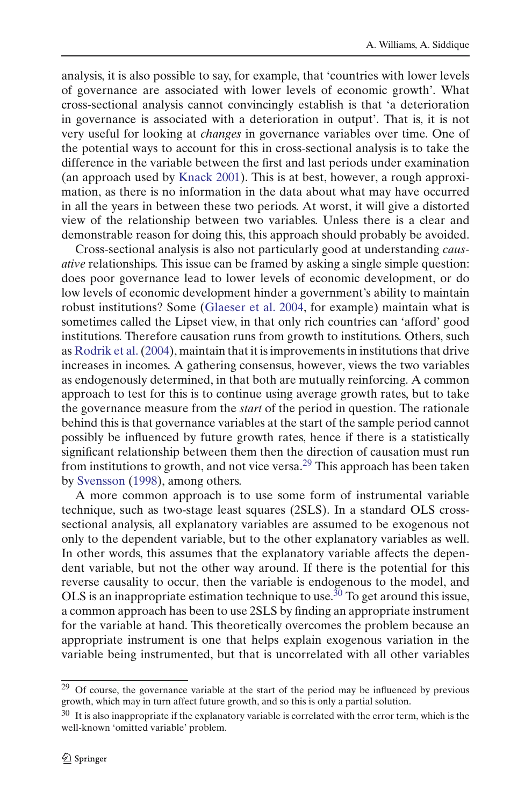analysis, it is also possible to say, for example, that 'countries with lower levels of governance are associated with lower levels of economic growth'. What cross-sectional analysis cannot convincingly establish is that 'a deterioration in governance is associated with a deterioration in output'. That is, it is not very useful for looking at *changes* in governance variables over time. One of the potential ways to account for this in cross-sectional analysis is to take the difference in the variable between the first and last periods under examination (an approach used by [Knack 2001\)](#page-42-21). This is at best, however, a rough approximation, as there is no information in the data about what may have occurred in all the years in between these two periods. At worst, it will give a distorted view of the relationship between two variables. Unless there is a clear and demonstrable reason for doing this, this approach should probably be avoided.

Cross-sectional analysis is also not particularly good at understanding *causative* relationships. This issue can be framed by asking a single simple question: does poor governance lead to lower levels of economic development, or do low levels of economic development hinder a government's ability to maintain robust institutions? Some [\(Glaeser et al. 2004,](#page-41-6) for example) maintain what is sometimes called the Lipset view, in that only rich countries can 'afford' good institutions. Therefore causation runs from growth to institutions. Others, such as [Rodrik et al.\(2004\)](#page-43-17), maintain that it is improvements in institutions that drive increases in incomes. A gathering consensus, however, views the two variables as endogenously determined, in that both are mutually reinforcing. A common approach to test for this is to continue using average growth rates, but to take the governance measure from the *start* of the period in question. The rationale behind this is that governance variables at the start of the sample period cannot possibly be influenced by future growth rates, hence if there is a statistically significant relationship between them then the direction of causation must run from institutions to growth, and not vice versa.[29](#page-19-0) This approach has been taken by [Svensson](#page-43-13) [\(1998\)](#page-43-13), among others.

A more common approach is to use some form of instrumental variable technique, such as two-stage least squares (2SLS). In a standard OLS crosssectional analysis, all explanatory variables are assumed to be exogenous not only to the dependent variable, but to the other explanatory variables as well. In other words, this assumes that the explanatory variable affects the dependent variable, but not the other way around. If there is the potential for this reverse causality to occur, then the variable is endogenous to the model, and OLS is an inappropriate estimation technique to use.<sup>30</sup> To get around this issue, a common approach has been to use 2SLS by finding an appropriate instrument for the variable at hand. This theoretically overcomes the problem because an appropriate instrument is one that helps explain exogenous variation in the variable being instrumented, but that is uncorrelated with all other variables

<span id="page-19-0"></span><sup>&</sup>lt;sup>29</sup> Of course, the governance variable at the start of the period may be influenced by previous growth, which may in turn affect future growth, and so this is only a partial solution.

<span id="page-19-1"></span> $30\,$  It is also inappropriate if the explanatory variable is correlated with the error term, which is the well-known 'omitted variable' problem.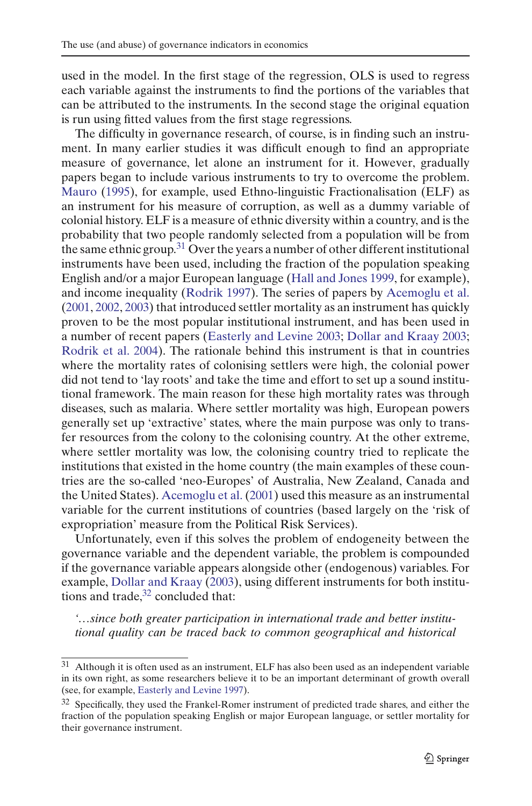used in the model. In the first stage of the regression, OLS is used to regress each variable against the instruments to find the portions of the variables that can be attributed to the instruments. In the second stage the original equation is run using fitted values from the first stage regressions.

The difficulty in governance research, of course, is in finding such an instrument. In many earlier studies it was difficult enough to find an appropriate measure of governance, let alone an instrument for it. However, gradually papers began to include various instruments to try to overcome the problem. [Mauro](#page-42-13) [\(1995](#page-42-13)), for example, used Ethno-linguistic Fractionalisation (ELF) as an instrument for his measure of corruption, as well as a dummy variable of colonial history. ELF is a measure of ethnic diversity within a country, and is the probability that two people randomly selected from a population will be from the same ethnic group.<sup>31</sup> Over the years a number of other different institutional instruments have been used, including the fraction of the population speaking English and/or a major European language [\(Hall and Jones 1999,](#page-41-9) for example), and income inequality [\(Rodrik 1997](#page-43-8)). The series of papers by [Acemoglu et al.](#page-40-7) [\(2001,](#page-40-7) [2002,](#page-40-11) [2003](#page-40-4)) that introduced settler mortality as an instrument has quickly proven to be the most popular institutional instrument, and has been used in a number of recent papers [\(Easterly and Levine 2003;](#page-41-16) [Dollar and Kraay 2003;](#page-41-15) [Rodrik et al. 2004\)](#page-43-17). The rationale behind this instrument is that in countries where the mortality rates of colonising settlers were high, the colonial power did not tend to 'lay roots' and take the time and effort to set up a sound institutional framework. The main reason for these high mortality rates was through diseases, such as malaria. Where settler mortality was high, European powers generally set up 'extractive' states, where the main purpose was only to transfer resources from the colony to the colonising country. At the other extreme, where settler mortality was low, the colonising country tried to replicate the institutions that existed in the home country (the main examples of these countries are the so-called 'neo-Europes' of Australia, New Zealand, Canada and the United States). [Acemoglu et al.](#page-40-7) [\(2001](#page-40-7)) used this measure as an instrumental variable for the current institutions of countries (based largely on the 'risk of expropriation' measure from the Political Risk Services).

Unfortunately, even if this solves the problem of endogeneity between the governance variable and the dependent variable, the problem is compounded if the governance variable appears alongside other (endogenous) variables. For example, [Dollar and Kraay](#page-41-15) [\(2003](#page-41-15)), using different instruments for both institutions and trade, $32$  concluded that:

*'…since both greater participation in international trade and better institutional quality can be traced back to common geographical and historical*

<span id="page-20-0"></span> $31$  Although it is often used as an instrument, ELF has also been used as an independent variable in its own right, as some researchers believe it to be an important determinant of growth overall (see, for example, [Easterly and Levine 1997](#page-41-20)).

<span id="page-20-1"></span><sup>&</sup>lt;sup>32</sup> Specifically, they used the Frankel-Romer instrument of predicted trade shares, and either the fraction of the population speaking English or major European language, or settler mortality for their governance instrument.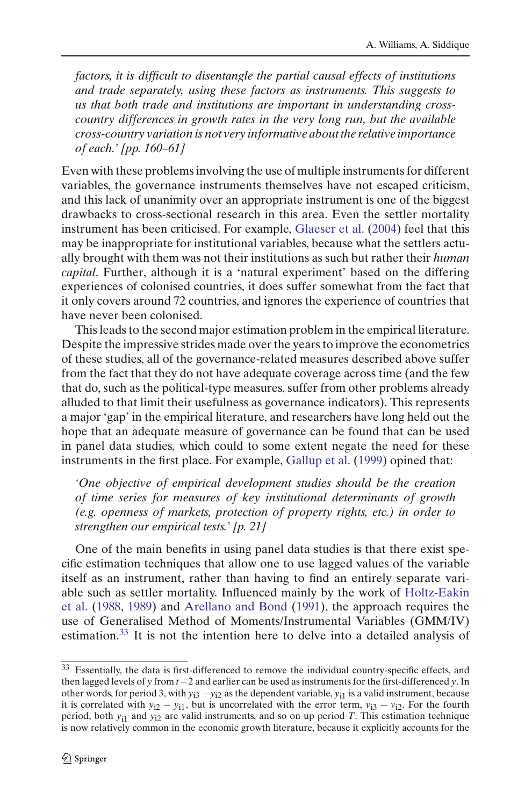*factors, it is difficult to disentangle the partial causal effects of institutions and trade separately, using these factors as instruments. This suggests to us that both trade and institutions are important in understanding crosscountry differences in growth rates in the very long run, but the available cross-country variation is not very informative about the relative importance of each.' [pp. 160–61]*

Even with these problems involving the use of multiple instruments for different variables, the governance instruments themselves have not escaped criticism, and this lack of unanimity over an appropriate instrument is one of the biggest drawbacks to cross-sectional research in this area. Even the settler mortality instrument has been criticised. For example, [Glaeser et al.](#page-41-6) [\(2004\)](#page-41-6) feel that this may be inappropriate for institutional variables, because what the settlers actually brought with them was not their institutions as such but rather their *human capital*. Further, although it is a 'natural experiment' based on the differing experiences of colonised countries, it does suffer somewhat from the fact that it only covers around 72 countries, and ignores the experience of countries that have never been colonised.

This leads to the second major estimation problem in the empirical literature. Despite the impressive strides made over the years to improve the econometrics of these studies, all of the governance-related measures described above suffer from the fact that they do not have adequate coverage across time (and the few that do, such as the political-type measures, suffer from other problems already alluded to that limit their usefulness as governance indicators). This represents a major 'gap' in the empirical literature, and researchers have long held out the hope that an adequate measure of governance can be found that can be used in panel data studies, which could to some extent negate the need for these instruments in the first place. For example, [Gallup et al.](#page-41-21) [\(1999\)](#page-41-21) opined that:

*'One objective of empirical development studies should be the creation of time series for measures of key institutional determinants of growth (e.g. openness of markets, protection of property rights, etc.) in order to strengthen our empirical tests.' [p. 21]*

One of the main benefits in using panel data studies is that there exist specific estimation techniques that allow one to use lagged values of the variable itself as an instrument, rather than having to find an entirely separate variable [such](#page-42-22) [as](#page-42-22) [settler](#page-42-22) [mortality.](#page-42-22) [Influenced](#page-42-22) [mainly](#page-42-22) [by](#page-42-22) [the](#page-42-22) [work](#page-42-22) [of](#page-42-22) Holtz-Eakin et al. [\(1988,](#page-42-22) [1989\)](#page-42-23) and [Arellano and Bond](#page-40-12) [\(1991\)](#page-40-12), the approach requires the use of Generalised Method of Moments/Instrumental Variables (GMM/IV) estimation.[33](#page-21-0) It is not the intention here to delve into a detailed analysis of

<span id="page-21-0"></span><sup>33</sup> Essentially, the data is first-differenced to remove the individual country-specific effects, and then lagged levels of *y* from *t*−2 and earlier can be used as instruments for the first-differenced *y*. In other words, for period 3, with *y*i3 −*y*i2 as the dependent variable, *y*i1 is a valid instrument, because it is correlated with  $y_{i2} - y_{i1}$ , but is uncorrelated with the error term,  $v_{i3} - v_{i2}$ . For the fourth period, both  $y_{i1}$  and  $y_{i2}$  are valid instruments, and so on up period *T*. This estimation technique is now relatively common in the economic growth literature, because it explicitly accounts for the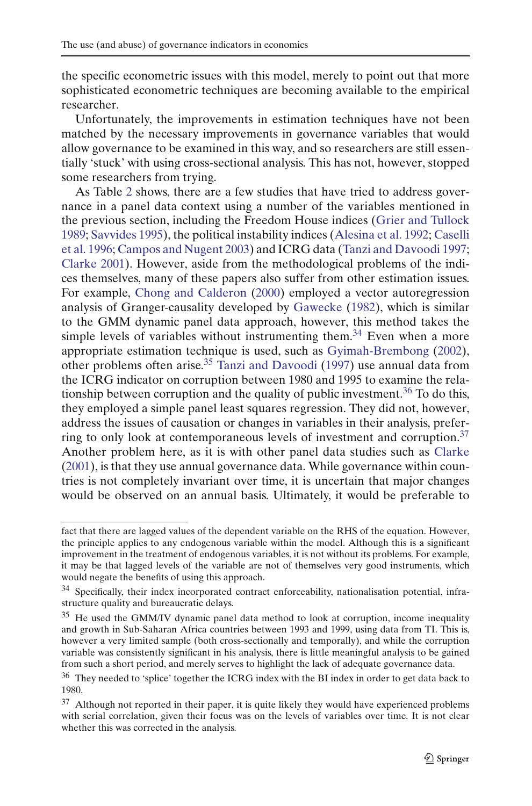the specific econometric issues with this model, merely to point out that more sophisticated econometric techniques are becoming available to the empirical researcher.

Unfortunately, the improvements in estimation techniques have not been matched by the necessary improvements in governance variables that would allow governance to be examined in this way, and so researchers are still essentially 'stuck' with using cross-sectional analysis. This has not, however, stopped some researchers from trying.

As Table [2](#page-24-0) shows, there are a few studies that have tried to address governance in a panel data context using a number of the variables mentioned in the previous section, including the Freedom House indices [\(Grier and Tullock](#page-41-22) [1989;](#page-41-22) [Savvides 1995](#page-43-19)[\),](#page-40-13) [the](#page-40-13) [political](#page-40-13) [instability](#page-40-13) [indices](#page-40-13) [\(Alesina et al. 1992](#page-40-1)[;](#page-40-13) Caselli et al. [1996;](#page-40-13) [Campos and Nugent 2003](#page-40-14)) and ICRG data [\(Tanzi and Davoodi 1997;](#page-43-14) [Clarke 2001](#page-40-15)). However, aside from the methodological problems of the indices themselves, many of these papers also suffer from other estimation issues. For example, [Chong and Calderon](#page-40-16) [\(2000](#page-40-16)) employed a vector autoregression analysis of Granger-causality developed by [Gawecke](#page-41-23) [\(1982](#page-41-23)), which is similar to the GMM dynamic panel data approach, however, this method takes the simple levels of variables without instrumenting them.<sup>[34](#page-22-0)</sup> Even when a more appropriate estimation technique is used, such as [Gyimah-Brembong](#page-41-14) [\(2002\)](#page-41-14), other problems often arise.<sup>35</sup> [Tanzi and Davoodi](#page-43-14) [\(1997\)](#page-43-14) use annual data from the ICRG indicator on corruption between 1980 and 1995 to examine the relationship between corruption and the quality of public investment.<sup>36</sup> To do this, they employed a simple panel least squares regression. They did not, however, address the issues of causation or changes in variables in their analysis, prefer-ring to only look at contemporaneous levels of investment and corruption.<sup>[37](#page-22-3)</sup> Another problem here, as it is with other panel data studies such as [Clarke](#page-40-15) [\(2001\)](#page-40-15), is that they use annual governance data. While governance within countries is not completely invariant over time, it is uncertain that major changes would be observed on an annual basis. Ultimately, it would be preferable to

fact that there are lagged values of the dependent variable on the RHS of the equation. However, the principle applies to any endogenous variable within the model. Although this is a significant improvement in the treatment of endogenous variables, it is not without its problems. For example, it may be that lagged levels of the variable are not of themselves very good instruments, which would negate the benefits of using this approach.

<span id="page-22-0"></span><sup>&</sup>lt;sup>34</sup> Specifically, their index incorporated contract enforceability, nationalisation potential, infrastructure quality and bureaucratic delays.

<span id="page-22-1"></span><sup>&</sup>lt;sup>35</sup> He used the GMM/IV dynamic panel data method to look at corruption, income inequality and growth in Sub-Saharan Africa countries between 1993 and 1999, using data from TI. This is, however a very limited sample (both cross-sectionally and temporally), and while the corruption variable was consistently significant in his analysis, there is little meaningful analysis to be gained from such a short period, and merely serves to highlight the lack of adequate governance data.

<span id="page-22-2"></span><sup>&</sup>lt;sup>36</sup> They needed to 'splice' together the ICRG index with the BI index in order to get data back to 1980.

<span id="page-22-3"></span> $37$  Although not reported in their paper, it is quite likely they would have experienced problems with serial correlation, given their focus was on the levels of variables over time. It is not clear whether this was corrected in the analysis.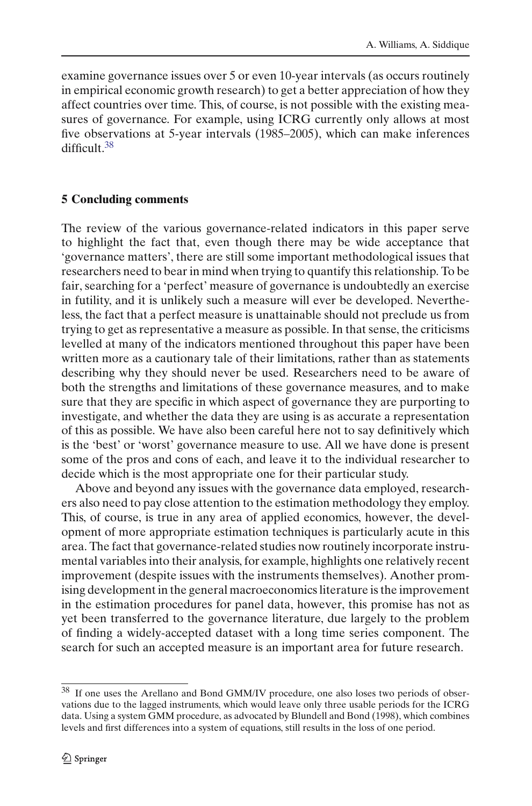examine governance issues over 5 or even 10-year intervals (as occurs routinely in empirical economic growth research) to get a better appreciation of how they affect countries over time. This, of course, is not possible with the existing measures of governance. For example, using ICRG currently only allows at most five observations at 5-year intervals (1985–2005), which can make inferences difficult 38

### **5 Concluding comments**

The review of the various governance-related indicators in this paper serve to highlight the fact that, even though there may be wide acceptance that 'governance matters', there are still some important methodological issues that researchers need to bear in mind when trying to quantify this relationship. To be fair, searching for a 'perfect' measure of governance is undoubtedly an exercise in futility, and it is unlikely such a measure will ever be developed. Nevertheless, the fact that a perfect measure is unattainable should not preclude us from trying to get as representative a measure as possible. In that sense, the criticisms levelled at many of the indicators mentioned throughout this paper have been written more as a cautionary tale of their limitations, rather than as statements describing why they should never be used. Researchers need to be aware of both the strengths and limitations of these governance measures, and to make sure that they are specific in which aspect of governance they are purporting to investigate, and whether the data they are using is as accurate a representation of this as possible. We have also been careful here not to say definitively which is the 'best' or 'worst' governance measure to use. All we have done is present some of the pros and cons of each, and leave it to the individual researcher to decide which is the most appropriate one for their particular study.

Above and beyond any issues with the governance data employed, researchers also need to pay close attention to the estimation methodology they employ. This, of course, is true in any area of applied economics, however, the development of more appropriate estimation techniques is particularly acute in this area. The fact that governance-related studies now routinely incorporate instrumental variables into their analysis, for example, highlights one relatively recent improvement (despite issues with the instruments themselves). Another promising development in the general macroeconomics literature is the improvement in the estimation procedures for panel data, however, this promise has not as yet been transferred to the governance literature, due largely to the problem of finding a widely-accepted dataset with a long time series component. The search for such an accepted measure is an important area for future research.

<span id="page-23-0"></span><sup>38</sup> If one uses the Arellano and Bond GMM/IV procedure, one also loses two periods of observations due to the lagged instruments, which would leave only three usable periods for the ICRG data. Using a system GMM procedure, as advocated by Blundell and Bond (1998), which combines levels and first differences into a system of equations, still results in the loss of one period.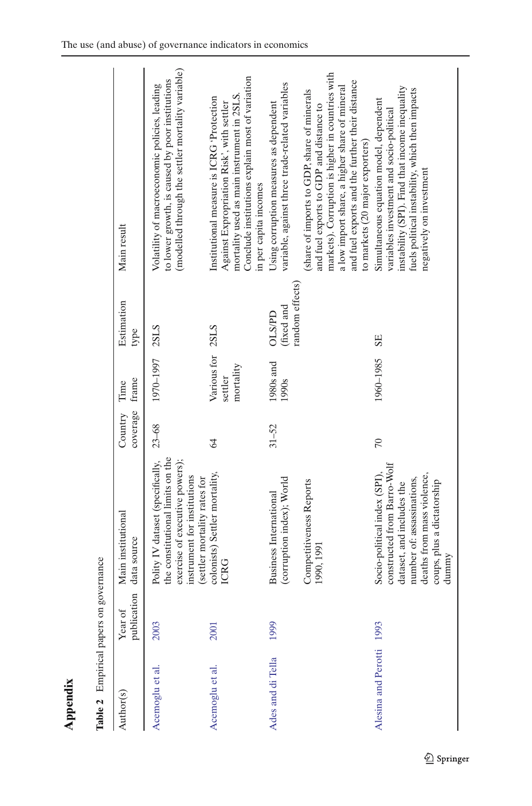| Appendix                    |                        |                                                                                                                                                                                            |                     |                                          |                                              |                                                                                                                                                                                                                                                                                   |
|-----------------------------|------------------------|--------------------------------------------------------------------------------------------------------------------------------------------------------------------------------------------|---------------------|------------------------------------------|----------------------------------------------|-----------------------------------------------------------------------------------------------------------------------------------------------------------------------------------------------------------------------------------------------------------------------------------|
| Table 2 Empirical papers on |                        | governance                                                                                                                                                                                 |                     |                                          |                                              |                                                                                                                                                                                                                                                                                   |
| Author(s)                   | publication<br>Year of | Main institutional<br>data source                                                                                                                                                          | coverage<br>Country | frame<br>Time                            | Estimation<br>type                           | Main result                                                                                                                                                                                                                                                                       |
| Acemoglu et al.             | 2003                   | the constitutional limits on the<br>exercise of executive powers);<br>Polity IV dataset (specifically,<br>instrument for institutions<br>settler mortality rates for                       | $23 - 68$           | 1970-1997                                | <b>2SLS</b>                                  | (modelled through the settler mortality variable)<br>to lower growth, is caused by poor institutions<br>Volatility of macroeconomic policies, leading                                                                                                                             |
| Acemoglu et al.             | 2001                   | colonists) Settler mortality.<br>ICRG                                                                                                                                                      | 64                  | Various for 2SLS<br>mortality<br>settler |                                              | Conclude institutions explain most of variation<br>mortality used as main instrument in 2SLS.<br>Institutional measure is ICRG 'Protection<br>Against Expropriation Risk', with settler<br>in per capita incomes                                                                  |
| Ades and di Tella           | 1999                   | (corruption index); World<br>Business International                                                                                                                                        | $31 - 52$           | 1980s and<br>1990s                       | random effects<br>(fixed and<br><b>OLSPD</b> | variable, against three trade-related variables<br>Using corruption measures as dependent                                                                                                                                                                                         |
|                             |                        | Competitiveness Reports<br>1990, 1991                                                                                                                                                      |                     |                                          |                                              | markets). Corruption is higher in countries with<br>and fuel exports and the further their distance<br>a low import share, a higher share of mineral<br>(share of imports to GDP, share of minerals<br>and fuel exports to GDP and distance to<br>to markets (20 major exporters) |
| Alesina and Perotti         | 1993                   | constructed from Barro-Wolf<br>deaths from mass violence,<br>Socio-political index (SPI)<br>number of: assassinations,<br>coups, plus a dictatorship<br>dataset, and includes the<br>dummy | 70                  | 1960-1985                                | SE <sub></sub>                               | instability (SPI). Find that income inequality<br>fuels political instability, which then impacts<br>Simultaneous equation model, dependent<br>variables investment and socio-political<br>negatively on investment                                                               |

<span id="page-24-0"></span>

| governa     |
|-------------|
| 5           |
| . papers    |
|             |
| Ξ           |
|             |
| in a bandar |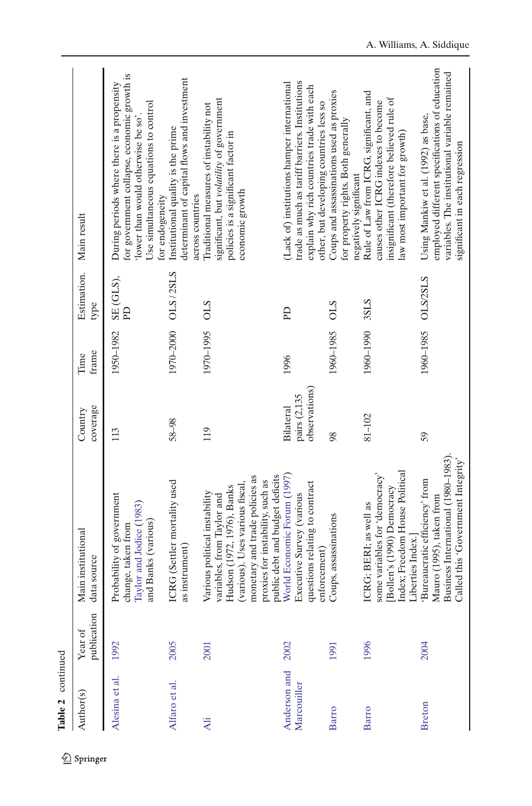| Table 2 continued           |                        |                                                                                                                                                                                                                                       |                                                   |               |                     |                                                                                                                                                                                             |
|-----------------------------|------------------------|---------------------------------------------------------------------------------------------------------------------------------------------------------------------------------------------------------------------------------------|---------------------------------------------------|---------------|---------------------|---------------------------------------------------------------------------------------------------------------------------------------------------------------------------------------------|
| Author(s)                   | publication<br>Year of | Main institutional<br>data source                                                                                                                                                                                                     | coverage<br>Country                               | frame<br>Time | Estimation.<br>type | Main result                                                                                                                                                                                 |
| Alesina et al.              | 1992                   | Probability of government<br>Taylor and Jodice (1983)<br>and Banks (various)<br>change, taken from                                                                                                                                    | 113                                               | 1950-1982     | SE (GLS),<br>£      | for government collapse, economic growth is<br>During periods where there is a propensity<br>Use simultaneous equations to control<br>lower than would otherwise be so'.<br>for endogeneity |
| Alfaro et al.               | 2005                   | ICRG (Settler mortality used<br>as instrument)                                                                                                                                                                                        | 58-98                                             | 1970-2000     | OLS/2SLS            | determinant of capital flows and investment<br>Institutional quality is the prime<br>across countries                                                                                       |
| Äli                         | 2001                   | public debt and budget deficits<br>monetary and trade policies as<br>proxies for instability, such as<br>(various). Uses various fiscal,<br>Hudson (1972, 1976), Banks<br>Various political instability<br>variables, from Taylor and | 119                                               | 1970-1995     | <b>OLS</b>          | significant, but volatility of government<br>Traditional measures of instability not<br>policies is a significant factor in<br>economic growth                                              |
| Anderson and<br>Marcouiller | 2002                   | World Economic Forum (1997)<br>questions relating to contract<br>Executive Survey (various<br>enforcement)                                                                                                                            | observations)<br>pairs (2,135<br><b>Bilateral</b> | 1996          | Eq                  | trade as much as tariff barriers. Institutions<br>(Lack of) institutions hamper international<br>explain why rich countries trade with each<br>other, but developing countries less so      |
| Barro                       | 1991                   | Coups, assassinations                                                                                                                                                                                                                 | 98                                                | 1960-1985     | <b>OLS</b>          | Coups and assassinations used as proxies<br>for property rights. Both generally<br>negatively significant                                                                                   |
| Barro                       | 1996                   | Index; Freedom House Political<br>some variables for 'democracy'<br>Bollen's (1990) Democracy<br>ICRG: BERI: as well as<br>Liberties Index.                                                                                           | $81 - 102$                                        | 1960-1990     | 3SLS                | Rule of Law from ICRG, significant, and<br>insignificant (therefore believed rule of<br>causes other ICRG indexes to become<br>law most important for growth)                               |
| <b>Breton</b>               | 2004                   | Business International (1980-1983).<br>Called this 'Government Integrity'<br>'Bureaucratic efficiency' from<br>Mauro (1995), taken from                                                                                               | 59                                                | 1960-1985     | OLS/2SLS            | employed different specifications of education<br>variables. The institutional variable remained<br>Using Mankiw et al. (1992) as base,<br>significant in each regression                   |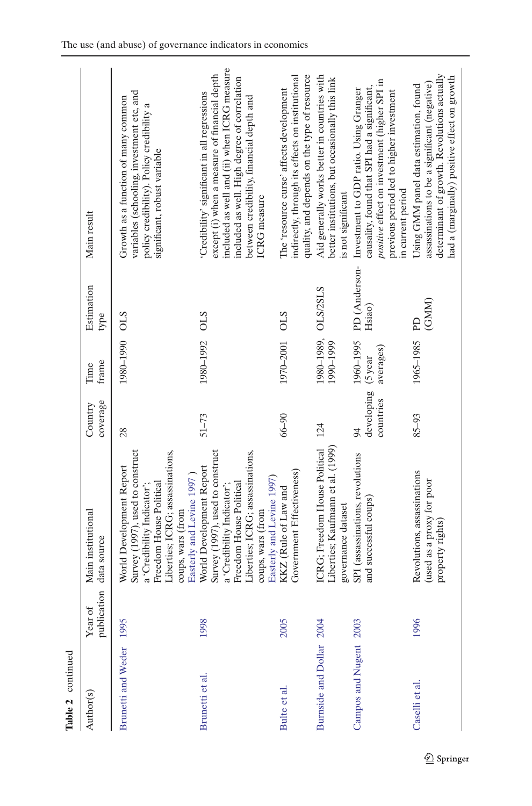| Table 2 continued         |                        |                                                                                                                                                                                                             |                               |                                   |                    |                                                                                                                                                                                                                                                         |
|---------------------------|------------------------|-------------------------------------------------------------------------------------------------------------------------------------------------------------------------------------------------------------|-------------------------------|-----------------------------------|--------------------|---------------------------------------------------------------------------------------------------------------------------------------------------------------------------------------------------------------------------------------------------------|
| Author(s)                 | publication<br>Year of | Main institutional<br>data source                                                                                                                                                                           | coverage<br>Country           | frame<br>Time                     | Estimation<br>type | Main result                                                                                                                                                                                                                                             |
| <b>Brunetti and Weder</b> | 1995                   | Survey (1997), used to construct<br>Liberties; ICRG; assassinations,<br>World Development Report<br>Easterly and Levine 1997<br>Freedom House Political<br>a 'Credibility Indicator';<br>coups, wars (from  | 28                            | 1980-1990                         | <b>OLS</b>         | variables (schooling, investment etc, and<br>Growth as a function of many common<br>policy credibility). Policy credibility a<br>significant, robust variable                                                                                           |
| Brunetti et al.           | 1998                   | Survey (1997), used to construct<br>Liberties; ICRG; assassinations,<br>World Development Report<br>Easterly and Levine 1997)<br>Freedom House Political<br>a 'Credibility Indicator';<br>coups, wars (from | $51 - 73$                     | 1980-1992 OLS                     |                    | included as well and (ii) when ICRG measure<br>except (i) when a measure of financial depth<br>included as well. High degree of correlation<br>'Credibility' significant in all regressions<br>between credibility, financial depth and<br>ICRG measure |
| Bulte et al.              | 2005                   | Government Effectiveness)<br>KKZ (Rule of Law and                                                                                                                                                           | $66 - 90$                     | 1970-2001                         | <b>OLS</b>         | quality, and depends on the type of resource<br>indirectly, through its effects on institutional<br>The 'resource curse' affects development                                                                                                            |
| Burnside and Dollar 2004  |                        | Liberties; Kaufmann et al. (1999)<br>ICRG; Freedom House Political<br>governance dataset                                                                                                                    | 124                           | 1980-1989, OLS/2SLS<br>1990-1999  |                    | Aid generally works better in countries with<br>better institutions, but occasionally this link<br>is not significant                                                                                                                                   |
| Campos and Nugent 2003    |                        | SPI (assassinations, revolutions<br>and successful coups)                                                                                                                                                   | developing<br>countries<br>94 | 1960-1995<br>averages)<br>(5 year | Hsiao)             | positive effect on investment (higher SPI in<br>causality, found that SPI had a significant,<br>PD (Anderson- Investment to GDP ratio. Using Granger<br>previous period led to higher investment<br>in current period                                   |
| Caselli et al.            | 1996                   | Revolutions, assassinations<br>(used as a proxy for poor<br>property rights)                                                                                                                                | 85-93                         | 1965-1985 PD                      | (GMM)              | determinant of growth. Revolutions actually<br>had a (marginally) positive effect on growth<br>assassinations to be a significant (negative)<br>Using GMM panel data estimation, found                                                                  |

 $\underline{\textcircled{\tiny 2}}$  Springer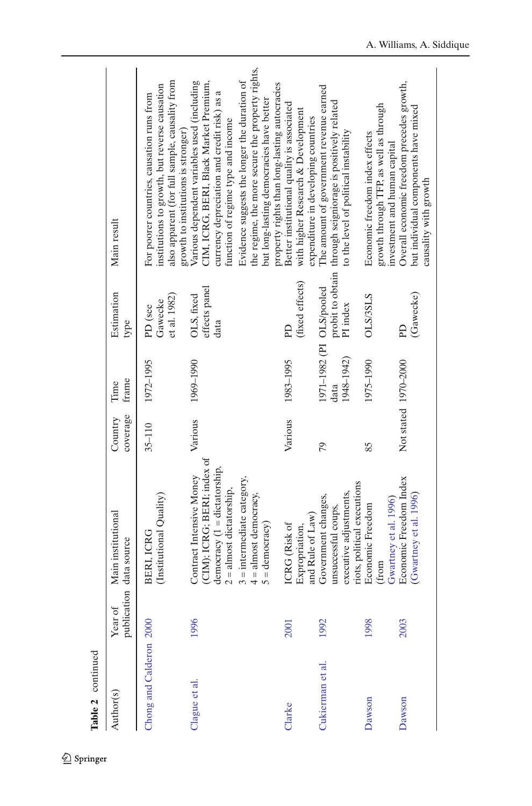| Table 2 continued       |             |                                                                                                                         |                      |                                                |                                     |                                                                                                                                                                                               |
|-------------------------|-------------|-------------------------------------------------------------------------------------------------------------------------|----------------------|------------------------------------------------|-------------------------------------|-----------------------------------------------------------------------------------------------------------------------------------------------------------------------------------------------|
| Author(s)               | ኑ<br>Year o | Main institutional<br>publication data source                                                                           | coverage<br>Country  | frame<br>Time                                  | Estimation<br>type                  | Main result                                                                                                                                                                                   |
| Chong and Calderon 2000 |             | (Institutional Quality)<br>BERI.ICRG                                                                                    | $35 - 110$           | 1972-1995                                      | et al. 1982)<br>Gawecke<br>PD (see  | also apparent (for full sample, causality from<br>institutions to growth, but reverse causation<br>For poorer countries, causation runs from<br>growth to institutions is stronger            |
| Clague et al.           | 1996        | (CIM); ICRG; BERI; index of<br>democracy $(1 =$ dictatorship,<br>Contract Intensive Money<br>$2 =$ almost dictatorship, | Various              | 1969-1990                                      | effects panel<br>OLS, fixed<br>data | CIM, ICRG, BERI, Black Market Premium,<br>Various dependent variables used (including<br>currency depreciation and credit risk) as a<br>function of regime type and income                    |
|                         |             | $3$ = intermediate category,<br>$4 =$ almost democracy,<br>$5 =$ democracy)                                             |                      |                                                |                                     | the regime, the more secure the property rights,<br>Evidence suggests the longer the duration of<br>property rights than long-lasting autocracies<br>but long-lasting democracies have better |
| Clarke                  | 2001        | and Rule of Law)<br><b>ICRG</b> (Risk of<br>Expropriation,                                                              | Various              | 1983-1995                                      | (fixed effects)<br>Eq               | Better institutional quality is associated<br>with higher Research & Development<br>expenditure in developing countries                                                                       |
| Cukierman et al.        | 1992        | riots, political executions<br>executive adjustments,<br>Government changes,<br>unsuccessful coups,                     | 79                   | 1971-1982 (PI OLS/pooled<br>1948-1942)<br>data | PI index                            | The amount of government revenue earned<br>probit to obtain through seigniorage is positively related<br>to the level of political instability                                                |
| Dawson                  | 1998        | Gwartney et al. 1996)<br>Economic Freedom<br>(from                                                                      | 85                   | 1975-1990                                      | <b>OLS/3SLS</b>                     | growth through TFP, as well as through<br>Economic freedom index effects<br>investment and human capital                                                                                      |
| Dawson                  | 2003        | Economic Freedom Index<br>(Gwartney et al. 1996)                                                                        | Not stated 1970-2000 |                                                | (Gawecke)<br>Eq                     | Overall economic freedom precedes growth,<br>but individual components have mixed<br>causality with growth                                                                                    |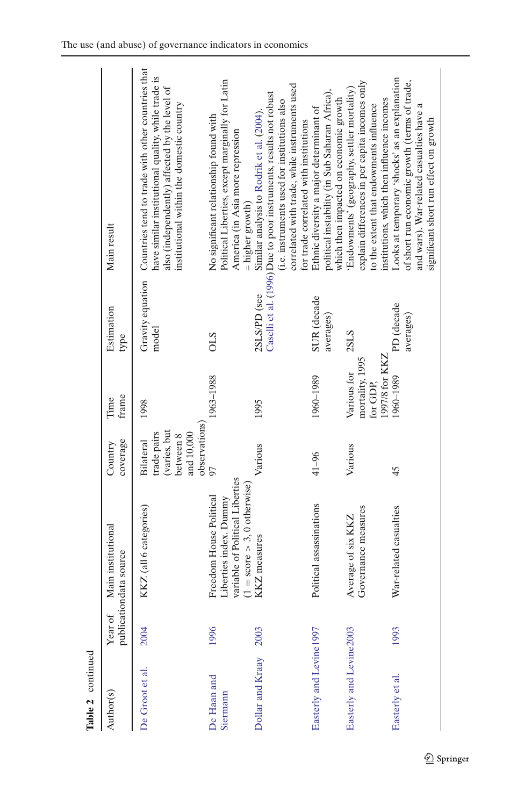| Table 2 continued       |         |                                                                                                                       |                                                                                      |                                                              |                          |                                                                                                                                                                                                                                                          |
|-------------------------|---------|-----------------------------------------------------------------------------------------------------------------------|--------------------------------------------------------------------------------------|--------------------------------------------------------------|--------------------------|----------------------------------------------------------------------------------------------------------------------------------------------------------------------------------------------------------------------------------------------------------|
| Author(s)               | Year of | Main institutional<br>publication data source                                                                         | coverage<br>Country                                                                  | frame<br>Time                                                | Estimation<br>type       | Main result                                                                                                                                                                                                                                              |
| De Groot et al.         | 2004    | KKZ (all 6 categories)                                                                                                | observations)<br>(varies, but<br>trade pairs<br>and 10,000<br>between 8<br>Bilateral | 1998                                                         | model                    | Gravity equation Countries tend to trade with other countries that<br>have similar institutional quality, while trade is<br>also (independently) affected by the level of<br>institutional within the domestic country                                   |
| De Haan and<br>Siermann | 1996    | variable of Political Liberties<br>$(1 = score > 3, 0 otherwise$<br>Freedom House Political<br>Liberties index. Dummy | 97                                                                                   | 1963-1988                                                    | <b>OLS</b>               | Political Liberties, except marginally for Latin<br>No significant relationship found with<br>America (in Asia more repression<br>$=$ higher growth)                                                                                                     |
| Dollar and Kraay        | 2003    | KKZ measures                                                                                                          | Various                                                                              | 1995                                                         | 2SLS/PD (see             | correlated with trade, while instruments used<br>Caselli et al. (1996) Due to poor instruments, results not robust<br>(i.e. instruments used for institutions also<br>Similar analysis to Rodrik et al. (2004)<br>for trade correlated with institutions |
| Easterly and Levine1997 |         | Political assassinations                                                                                              | $41 - 96$                                                                            | 1960-1989                                                    | SUR (decade<br>averages) | political instability (in Sub Saharan Africa),<br>which then impacted on economic growth<br>Ethnic diversity a major determinant of                                                                                                                      |
| Easterly and Levine2003 |         | Governance measures<br>Average of six KKZ                                                                             | Various                                                                              | 1997/8 for KKZ<br>mortality, 1995<br>Various for<br>for GDP. | 2SLS                     | explain differences in per capita incomes only<br>'Endowments' (geography, settler mortality)<br>institutions, which then influence incomes<br>to the extent that endowments influence                                                                   |
| Easterly et al.         | 1993    | War-related casualties                                                                                                | 45                                                                                   | 1960-1989                                                    | PD (decade<br>averages)  | Looks at temporary 'shocks' as an explanation<br>of short run economic growth (terms of trade,<br>and wars). War-related casualties have a<br>significant short run effect on growth                                                                     |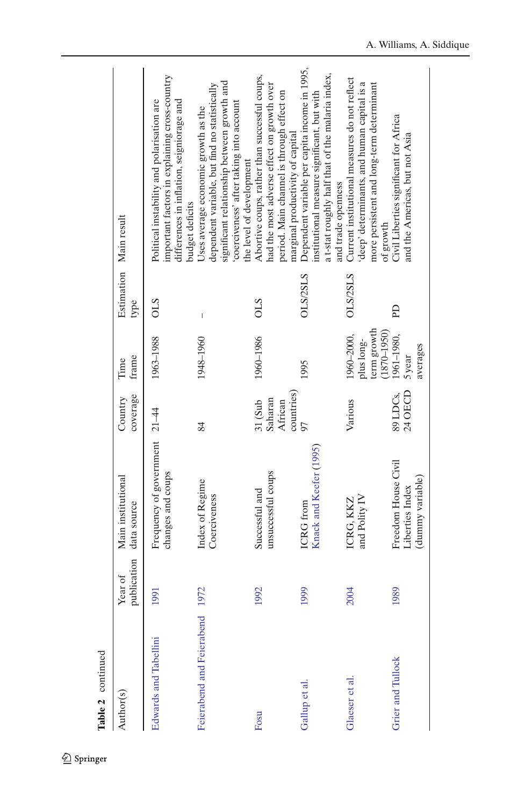| Table 2 continued         |                        |                                                            |                                            |                                                            |                                                                                                                                                                                                                                                                                                                                                                                  |                                                                                                                                                                                                            |
|---------------------------|------------------------|------------------------------------------------------------|--------------------------------------------|------------------------------------------------------------|----------------------------------------------------------------------------------------------------------------------------------------------------------------------------------------------------------------------------------------------------------------------------------------------------------------------------------------------------------------------------------|------------------------------------------------------------------------------------------------------------------------------------------------------------------------------------------------------------|
| Author(s)                 | publication<br>Year of | Main institutional<br>data source                          | coverage<br>Country                        | frame<br>Time                                              | Estimation Main result<br>type                                                                                                                                                                                                                                                                                                                                                   |                                                                                                                                                                                                            |
| Edwards and Tabellini     | 1991                   | Frequency of government<br>changes and coups               | $21 - 44$                                  | 1963-1988                                                  | <b>CTO</b>                                                                                                                                                                                                                                                                                                                                                                       | important factors in explaining cross-country<br>Political instability and polarisation are<br>differences in inflation, seigniorage and<br>budget deficits                                                |
| Feierabend and Feierabend | 1972                   | Index of Regime<br>Coerciveness                            | 84                                         | 1948-1960                                                  | $\begin{array}{c} \rule{0pt}{2.5ex} \rule{0pt}{2.5ex} \rule{0pt}{2.5ex} \rule{0pt}{2.5ex} \rule{0pt}{2.5ex} \rule{0pt}{2.5ex} \rule{0pt}{2.5ex} \rule{0pt}{2.5ex} \rule{0pt}{2.5ex} \rule{0pt}{2.5ex} \rule{0pt}{2.5ex} \rule{0pt}{2.5ex} \rule{0pt}{2.5ex} \rule{0pt}{2.5ex} \rule{0pt}{2.5ex} \rule{0pt}{2.5ex} \rule{0pt}{2.5ex} \rule{0pt}{2.5ex} \rule{0pt}{2.5ex} \rule{0$ | significant relationship between growth and<br>dependent variable, but find no statistically<br>coerciveness' after taking into account<br>Uses average economic growth as the<br>the level of development |
| Fosu                      | 1992                   | unsuccessful coups<br>Successful and                       | countries)<br>31(Sub<br>Saharan<br>African | 1960-1986                                                  | <b>CTO</b>                                                                                                                                                                                                                                                                                                                                                                       | Abortive coups, rather than successful coups,<br>had the most adverse effect on growth over<br>period. Main channel is through effect on<br>marginal productivity of capital                               |
| Gallup et al.             | 1999                   | Knack and Keefer (1995)<br>ICRG from                       | 56                                         | 1995                                                       | OLS/2SLS                                                                                                                                                                                                                                                                                                                                                                         | Dependent variable per capita income in 1995,<br>a t-stat roughly half that of the malaria index,<br>institutional measure significant, but with<br>and trade openness                                     |
| Glaeser et al.            | 2004                   | and Polity IV<br>ICRG, KKZ                                 | Various                                    | term growth<br>$(1870 - 1950)$<br>1960-2000,<br>plus long- | OLS/2SLS                                                                                                                                                                                                                                                                                                                                                                         | Current institutional measures do not reflect<br>deep' determinants, and human capital is a<br>more persistent and long-term determinant<br>of growth                                                      |
| Grier and Tullock         | 1989                   | Freedom House Civil<br>(dummy variable)<br>Liberties Index | 24 OECD<br>89 LDCs,                        | 1961-1980,<br>averages<br>5year                            | Eq                                                                                                                                                                                                                                                                                                                                                                               | Civil Liberties significant for Africa<br>and the Americas, but not Asia                                                                                                                                   |

 $\underline{\textcircled{\tiny 2}}$  Springer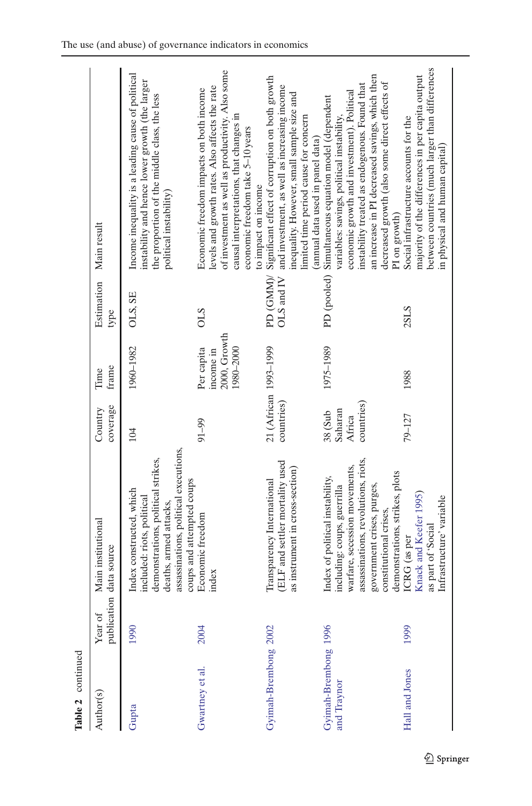| Table 2 continued                   |         |                                                                                                                                                                                                                                  |                                            |                                                      |                    |                                                                                                                                                                                                                                                                                                                      |
|-------------------------------------|---------|----------------------------------------------------------------------------------------------------------------------------------------------------------------------------------------------------------------------------------|--------------------------------------------|------------------------------------------------------|--------------------|----------------------------------------------------------------------------------------------------------------------------------------------------------------------------------------------------------------------------------------------------------------------------------------------------------------------|
| Author(s)                           | Year of | Main institutional<br>publication data source                                                                                                                                                                                    | coverage<br>Country                        | frame<br>Time                                        | Estimation<br>type | Main result                                                                                                                                                                                                                                                                                                          |
| Gupta                               | 1990    | assassinations, political executions,<br>demonstrations, political strikes,<br>coups and attempted coups<br>Index constructed, which<br>included: riots, political<br>deaths, armed attacks,                                     | 104                                        | 1960-1982                                            | OLS, SE            | Income inequality is a leading cause of political<br>instability and hence lower growth (the larger<br>the proportion of the middle class, the less<br>political instability)                                                                                                                                        |
| Gwartney et al.                     | 2004    | Economic freedom<br>index                                                                                                                                                                                                        | $91 - 99$                                  | 2000, Growth<br>1980-2000<br>Per capita<br>income in | <b>OLS</b>         | of investment as well as productivity. Also some<br>levels and growth rates. Also affects the rate<br>Economic freedom impacts on both income<br>causal interpretations, that changes in<br>economic freedom take 5-10 years<br>to impact on income                                                                  |
| Gyimah-Brembong 2002                |         | (ELF and settler mortality used<br>as instrument in cross-section)<br>Transparency International                                                                                                                                 | 21 (African 1993-1999<br>countries)        |                                                      | OLS and IV         | PD (GMM)/ Significant effect of corruption on both growth<br>and investment, as well as increasing income<br>inequality. However, small sample size and<br>limited time period cause for concern<br>(annual data used in panel data)                                                                                 |
| Gyimah-Brembong 1996<br>and Traynor |         | assassinations, revolutions, riots,<br>warfare, secession movements,<br>demonstrations, strikes, plots<br>Index of political instability,<br>including: coups, guerrilla<br>government crises, purges,<br>constitutional crises. | countries)<br>Saharan<br>38(Sub)<br>Africa | 1975-1989                                            |                    | an increase in PI decreased savings, which then<br>decreased growth (also some direct effects of<br>instability treated as endogenous. Found that<br>economic growth and investment). Political<br>PD (pooled) Simultaneous equation model (dependent<br>variables: savings, political instability,<br>PI on growth) |
| Hall and Jones                      | 1999    | Knack and Keefer 1995)<br>Infrastructure' variable<br>as part of 'Social<br>ICRG (as per                                                                                                                                         | 79-127                                     | 1988                                                 | 2SLS               | between countries (much larger than differences<br>majority of the differences in per capita output<br>Social infrastructure accounts for the<br>in physical and human capital)                                                                                                                                      |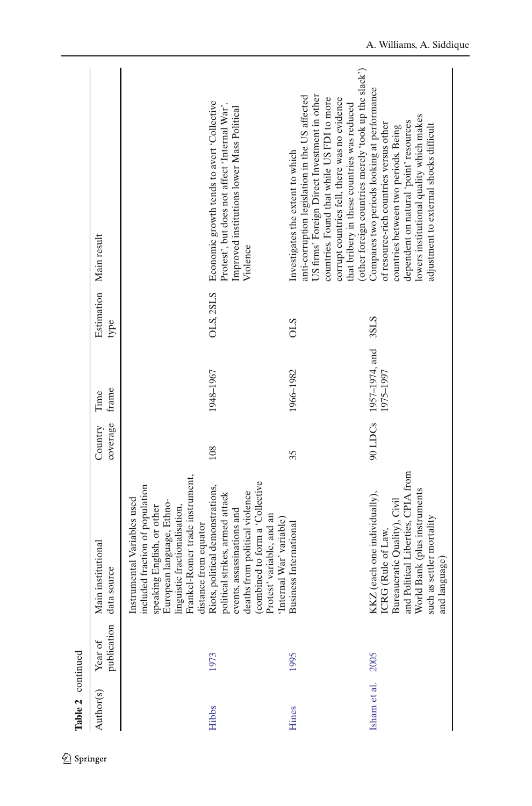| Table 2 continued |                        |                                                                                                                                                                                                                                                            |                     |                                          |                    |                                                                                                                                                                                                                                                                                                                                          |
|-------------------|------------------------|------------------------------------------------------------------------------------------------------------------------------------------------------------------------------------------------------------------------------------------------------------|---------------------|------------------------------------------|--------------------|------------------------------------------------------------------------------------------------------------------------------------------------------------------------------------------------------------------------------------------------------------------------------------------------------------------------------------------|
| Author(s)         | publication<br>Year of | ain institutional<br>data source<br>≋                                                                                                                                                                                                                      | coverage<br>Country | frame<br>Time                            | Estimation<br>type | Main result                                                                                                                                                                                                                                                                                                                              |
|                   |                        | linguistic fractionalisation,<br>Frankel-Romer trade instrument,<br>distance from equator<br>Riots, political demonstrations,<br>included fraction of population<br>Instrumental Variables used<br>speaking English, or other<br>European language, Ethno- |                     |                                          |                    |                                                                                                                                                                                                                                                                                                                                          |
| <b>Hibbs</b>      | 1973                   | events, assassinations and<br>deaths from political violence<br>(combined to form a 'Collective<br>Protest' variable, and an<br>political strikes, armed attack<br>'Internal War' variable)                                                                | 108                 | 1948-1967                                | OLS, 2SLS          | Economic growth tends to avert 'Collective<br>Protest', but does not affect 'Internal War'.<br>Improved institutions lower Mass Political<br>Violence                                                                                                                                                                                    |
| Hines             | 1995                   | Business International                                                                                                                                                                                                                                     | 35                  | 1966-1982                                | <b>OLS</b>         | (other foreign countries merely 'took up the slack')<br>US firms' Foreign Direct Investment in other<br>anti-corruption legislation in the US affected<br>corrupt countries fell, there was no evidence<br>countries. Found that while US FDI to more<br>that bribery in these countries was reduced<br>Investigates the extent to which |
| Isham et al.      | 2005                   | and Political Liberties, CPIA from<br>World Bank (plus instruments<br>KKZ (each one individually),<br>ICRG (Rule of Law,<br>Bureaucratic Quality), Civil<br>such as settler mortality<br>and language)                                                     |                     | 90 LDCs 1957-1974, and 3SLS<br>1975-1997 |                    | Compares two periods looking at performance<br>lowers institutional quality which makes<br>dependent on natural 'point' resources<br>of resource-rich countries versus other<br>adjustment to external shocks difficult<br>countries between two periods. Being                                                                          |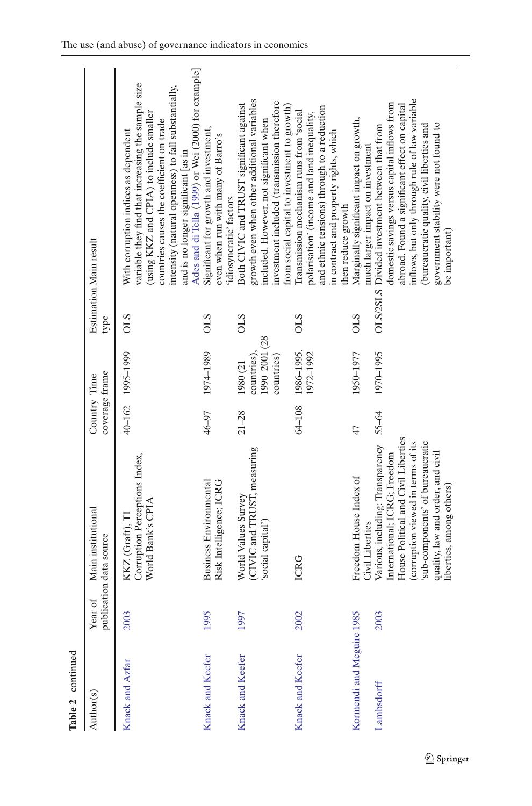| Table 2 continued         |         |                                                                                                                                                                                                                                                  |                                |                                                        |            |                                                                                                                                                                                                                                                                                                                                         |
|---------------------------|---------|--------------------------------------------------------------------------------------------------------------------------------------------------------------------------------------------------------------------------------------------------|--------------------------------|--------------------------------------------------------|------------|-----------------------------------------------------------------------------------------------------------------------------------------------------------------------------------------------------------------------------------------------------------------------------------------------------------------------------------------|
| Author(s)                 | Year of | Main institutional<br>publication data source                                                                                                                                                                                                    | coverage frame<br>Country Time |                                                        | type       | Estimation Main result                                                                                                                                                                                                                                                                                                                  |
| Knack and Azfar           | 2003    | Corruption Perceptions Index,<br>World Bank's CPIA<br>KKZ (Graft), TI                                                                                                                                                                            |                                | 40-162 1995-1999                                       | <b>OLS</b> | Ades and di Tella (1999) or Wei (2000) for example]<br>variable they find that increasing the sample size<br>intensity (natural openness) to fall substantially,<br>(using KKZ and CPIA) to include smaller<br>countries causes the coefficient on trade<br>With corruption indices as dependent<br>and is no longer significant [as in |
| Knack and Keefer          | 1995    | <b>Business Environmental</b><br>Risk Intelligence; ICRG                                                                                                                                                                                         | 46-97                          | 1974-1989                                              | <b>CTO</b> | Significant for growth and investment,<br>even when run with many of Barro's<br>idiosyncratic' factors                                                                                                                                                                                                                                  |
| Knack and Keefer          | 1997    | (CIVIC and TRUST, measuring<br>World Values Survey<br>'social capital')                                                                                                                                                                          | $21 - 28$                      | 1990-2001 (28<br>countries).<br>countries)<br>1980 (21 | <b>CTO</b> | growth even when other additional variables<br>investment included (transmission therefore<br>Both CIVIC and TRUST significant against<br>from social capital to investment to growth)<br>included. However, not significant when                                                                                                       |
| Knack and Keefer          | 2002    | ICRG                                                                                                                                                                                                                                             |                                | 64-108 1986-1995,<br>972-1992                          | <b>CTO</b> | and ethnic tensions) through to a reduction<br>Iransmission mechanism runs from 'social<br>polarisation' (income and land inequality,<br>in contract and property rights, which<br>then reduce growth                                                                                                                                   |
| Kormendi and Meguire 1985 |         | Freedom House Index of<br>Civil Liberties                                                                                                                                                                                                        | 47                             | 1950-1977                                              | <b>OLS</b> | Marginally significant impact on growth,<br>much larger impact on investment                                                                                                                                                                                                                                                            |
| Lambsdorff                | 2003    | House Political and Civil Liberties<br>corruption viewed in terms of its<br>sub-components' of bureaucratic<br>Various, including: Transparency<br>quality, law and order, and civil<br>International; ICRG; Freedom<br>liberties, among others) | $55 - 64$                      | 1970-1995                                              |            | inflows, but only through rule of law variable<br>domestic savings versus capital inflows from<br>abroad. Found a significant effect on capital<br>government stability were not found to<br>(bureaucratic quality, civil liberties and<br>OLS/2SLS Divided investment between that from<br>be important)                               |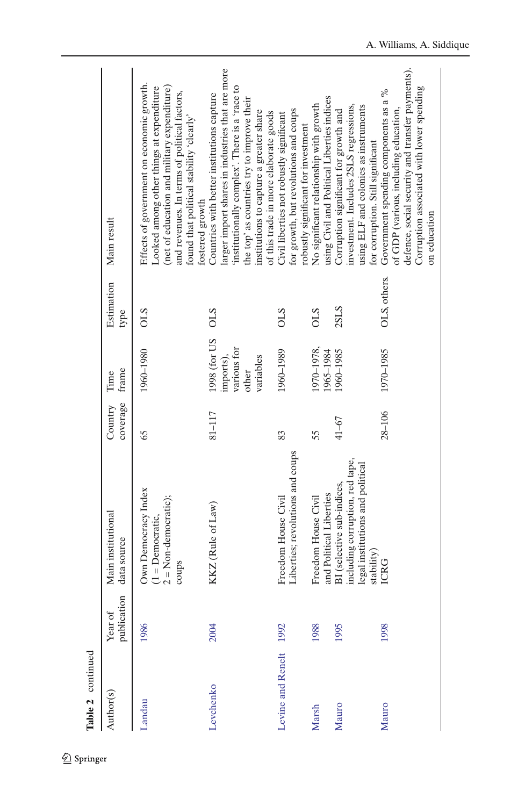| Table 2 continued |                                        |                                                                                                                 |                     |                                                                |                    |                                                                                                                                                                                                                                                                                   |
|-------------------|----------------------------------------|-----------------------------------------------------------------------------------------------------------------|---------------------|----------------------------------------------------------------|--------------------|-----------------------------------------------------------------------------------------------------------------------------------------------------------------------------------------------------------------------------------------------------------------------------------|
| Author(s)         | $\overline{5}$<br>publicati<br>Year of | Main institutional<br>data source                                                                               | coverage<br>Country | frame<br>Time                                                  | Estimation<br>type | Main result                                                                                                                                                                                                                                                                       |
| Landau            | 1986                                   | Own Democracy Index<br>$2 = Non-democratic);$<br>$(1 = Democratic,$<br>coups                                    | 65                  | 1960-1980                                                      | STO                | Effects of government on economic growth.<br>Looked among other things at expenditure<br>(net of education and military expenditure)<br>and revenues. In terms of political factors,<br>found that political stability 'clearly'<br>fostered growth                               |
| Levchenko         | 2004                                   | KKZ (Rule of Law)                                                                                               | 81-117              | 1998 (for US<br>various for<br>imports),<br>variables<br>other | <b>OLS</b>         | larger import shares in industries that are more<br>institutionally complex'. There is a 'race to<br>Countries with better institutions capture<br>the top' as countries try to improve their<br>institutions to capture a greater share<br>of this trade in more elaborate goods |
| Levine and Renelt | 1992                                   | Liberties; revolutions and coups<br>Freedom House Civil                                                         | 83                  | 1960-1989                                                      | STO                | for growth, but revolutions and coups<br>Civil liberties not robustly significant<br>robustly significant for investment                                                                                                                                                          |
| Marsh             | 1988                                   | and Political Liberties<br>Freedom House Civil                                                                  | 55                  | 1970-1978,<br>1965-1984                                        | <b>OLS</b>         | using Civil and Political Liberties indices<br>No significant relationship with growth                                                                                                                                                                                            |
| Mauro             | 1995                                   | including corruption, red tape,<br>legal institutions and political<br>BI (selective sub-indices,<br>stability) | $41 - 67$           | 1960-1985                                                      | 2SLS               | using ELF and colonies as instruments<br>investment. Includes 2SLS regressions,<br>Corruption significant for growth and<br>for corruption. Still significant                                                                                                                     |
| Mauro             | 1998                                   | ICRG                                                                                                            | 28-106              | 1970-1985                                                      | OLS, others.       | defence, social security and transfer payments).<br>Corruption associated with lower spending<br>Government spending components as a %<br>of GDP (various, including education,<br>on education                                                                                   |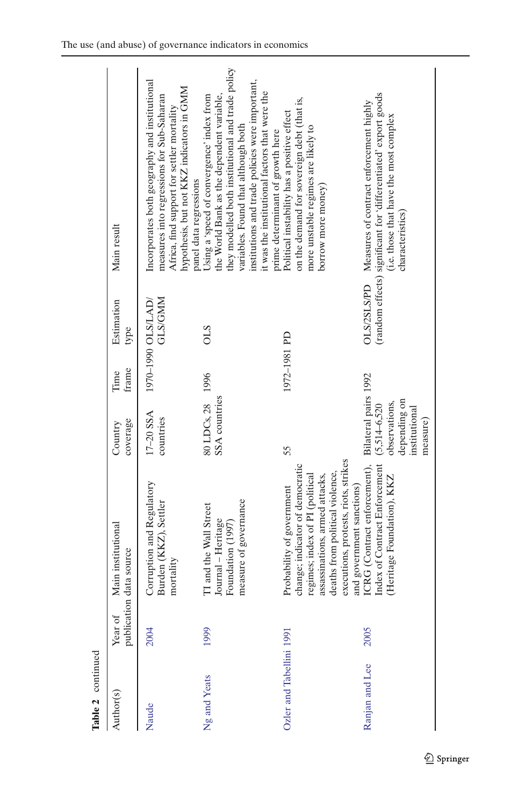| Table 2 continued        |         |                                                                                                                                                                                                                                           |                                                                                                       |               |                                      |                                                                                                                                                                                                                                                                                         |
|--------------------------|---------|-------------------------------------------------------------------------------------------------------------------------------------------------------------------------------------------------------------------------------------------|-------------------------------------------------------------------------------------------------------|---------------|--------------------------------------|-----------------------------------------------------------------------------------------------------------------------------------------------------------------------------------------------------------------------------------------------------------------------------------------|
| Author(s)                | Year of | Main institutional<br>publication data source                                                                                                                                                                                             | coverage<br>Country                                                                                   | frame<br>Time | Estimation<br>type                   | Main result                                                                                                                                                                                                                                                                             |
| Naude                    | 2004    | Corruption and Regulatory<br>Burden (KKZ), Settler<br>mortality                                                                                                                                                                           | 17-20 SSA<br>countries                                                                                |               | <b>GLS/GMM</b><br>1970-1990 OLS/LAD/ | Incorporates both geography and institutional<br>hypothesis, but not KKZ indicators in GMM<br>measures into regressions for Sub-Saharan<br>Africa, find support for settler mortality<br>panel data regressions                                                                         |
| Ng and Yeats             | 1999    | measure of governance<br>TI and the Wall Street<br>Journal - Heritage<br>Foundation (1997)                                                                                                                                                | 80 LDCs, 28 1996<br>SSA countries                                                                     |               | <b>OLS</b>                           | they modelled both institutional and trade policy<br>institutions and trade policies were important,<br>it was the institutional factors that were the<br>Using a 'speed of convergence' index from<br>the World Bank as the dependent variable,<br>variables. Found that although both |
| Ozler and Tabellini 1991 |         | executions, protests, riots, strikes<br>change; indicator of democratic<br>deaths from political violence,<br>regimes; index of PI (political<br>assassinations, armed attacks,<br>and government sanctions)<br>Probability of government | 55                                                                                                    | 1972-1981 PD  |                                      | on the demand for sovereign debt (that is,<br>Political instability has a positive effect<br>more unstable regimes are likely to<br>prime determinant of growth here<br>borrow more money)                                                                                              |
| Ranjan and Lee           | 2005    | Index of Contract Enforcement<br>ICRG (Contract enforcement),<br>(Heritage Foundation), KKZ                                                                                                                                               | Bilateral pairs 1992<br>depending on<br>observations,<br>$(5,514-6,520)$<br>institutional<br>measure) |               | OLS/2SLS/PD                          | (random effects) significant for 'differentiated' export goods<br>Measures of contract enforcement highly<br>(i.e. those that have the most complex<br>characteristics)                                                                                                                 |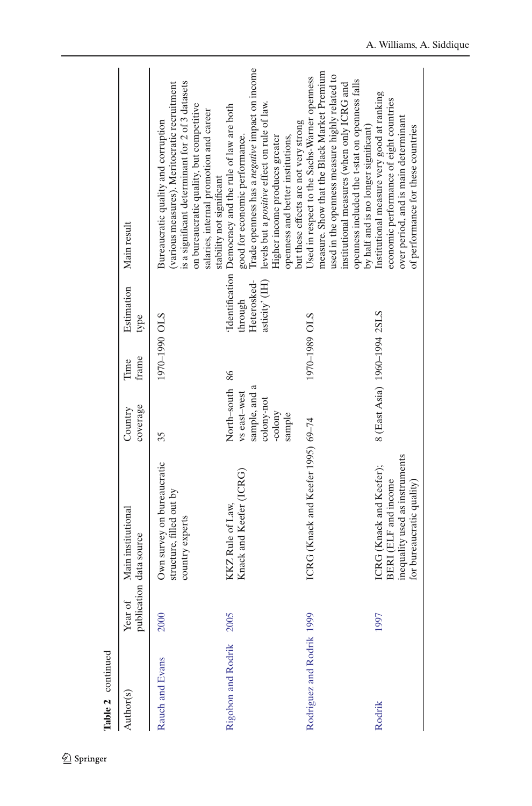| Author(s)                 | ð.<br>Year | Main institutional<br>publication data source                                                                          | coverage<br>Country                                                                | frame<br>Time | Estimation<br>type                       | Main result                                                                                                                                                                                                                                                                            |
|---------------------------|------------|------------------------------------------------------------------------------------------------------------------------|------------------------------------------------------------------------------------|---------------|------------------------------------------|----------------------------------------------------------------------------------------------------------------------------------------------------------------------------------------------------------------------------------------------------------------------------------------|
| Rauch and Evans           | 2000       | Own survey on bureaucratic<br>structure, filled out by<br>country experts                                              | 35                                                                                 | I070-1990 OLS |                                          | is a significant determinant for 2 of 3 datasets<br>(various measures). Meritocratic recruitment<br>on bureaucratic quality, but competitive<br>salaries, internal promotion and career<br>Bureaucratic quality and corruption<br>stability not significant                            |
| Rigobon and Rodrik        | 2005       | Knack and Keefer (ICRG)<br>KKZ Rule of Law,                                                                            | North-south 86<br>sample, and a<br>vs east-west<br>colony-not<br>-colony<br>sample |               | asticity' (IH)<br>Heterosked-<br>through | Trade openness has a negative impact on income<br>levels but a positive effect on rule of law.<br>'Identification Democracy and the rule of law are both<br>good for economic performance.<br>Higher income produces greater<br>openness and better institutions,                      |
| Rodriguez and Rodrik 1999 |            | ICRG (Knack and Keefer 1995) 69-74                                                                                     |                                                                                    | 1970-1989 OLS |                                          | measure. Show that the Black Market Premium<br>used in the openness measure highly related to<br>Used in respect to the Sachs-Warner openness<br>openness included the t-stat on openness falls<br>institutional measures (when only ICRG and<br>but these effects are not very strong |
| Rodrik                    | 1997       | inequality used as instruments<br>ICRG (Knack and Keefer);<br><b>BERI</b> (ELF and income<br>for bureaucratic quality) | 8 (East Asia) 1960-1994 2SLS                                                       |               |                                          | Institutional measure very good at ranking<br>economic performance of eight countries<br>over period, and is main determinant<br>of performance for these countries<br>by half and is no longer significant)                                                                           |

Table 2 continued **Table 2** continued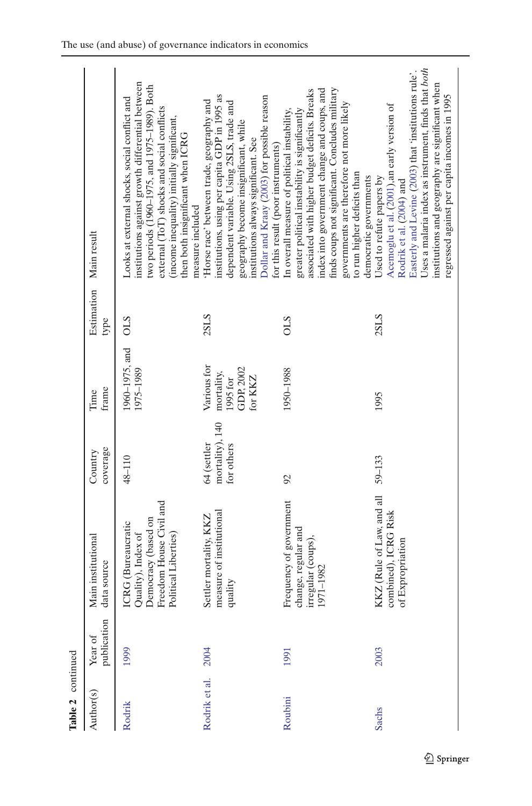| Table 2 continued |                        |                                                                                                                    |                                              |                                                              |            |                                                                                                                                                                                                                                                                                                                                                          |
|-------------------|------------------------|--------------------------------------------------------------------------------------------------------------------|----------------------------------------------|--------------------------------------------------------------|------------|----------------------------------------------------------------------------------------------------------------------------------------------------------------------------------------------------------------------------------------------------------------------------------------------------------------------------------------------------------|
| Author(s)         | publication<br>Year of | Main institutional<br>data source                                                                                  | coverage<br>Country                          | frame<br>Time                                                | type       | Estimation Main result                                                                                                                                                                                                                                                                                                                                   |
| Rodrik            | 1999                   | Freedom House Civil and<br>Democracy (based on<br>ICRG (Bureaucratic<br>Political Liberties)<br>Quality), Index of | 48-110                                       | 1960-1975, and<br>1975-1989                                  | <b>OLS</b> | institutions against growth differential between<br>two periods (1960-1975, and 1975-1989). Both<br>Looks at external shocks, social conflict and<br>external (ToT) shocks and social conflicts<br>(income inequality) initially significant,<br>then both insignificant when ICRG<br>neasure included                                                   |
| Rodrik et al.     | 2004                   | measure of institutional<br>Settler mortality, KKZ<br>quality                                                      | mortality), 140<br>64 (settler<br>for others | Various for<br>GDP, 2002<br>mortality,<br>1995 for<br>or KKZ | 2SLS       | institutions, using per capita GDP in 1995 as<br>Dollar and Kraay (2003) for possible reason<br>Horse race' between trade, geography and<br>dependent variable. Using 2SLS, trade and<br>geography become insignificant, while<br>institutions always significant. See<br>for this result (poor instruments)                                             |
| Roubini           | 1991                   | Frequency of government<br>change, regular and<br>irregular (coups),<br>1971–1982                                  | 92                                           | 1950-1988                                                    | <b>OLS</b> | finds coups not significant. Concludes military<br>index into government change and coups, and<br>associated with higher budget deficits. Breaks<br>governments are therefore not more likely<br>greater political instability is significantly<br>In overall measure of political instability,<br>to run higher deficits than<br>democratic governments |
| <b>Sachs</b>      | 2003                   | KKZ (Rule of Law, and all<br>combined), ICRG Risk<br>of Expropriation                                              | 59-133                                       | 1995                                                         | 2SLS       | Uses a malaria index as instrument, finds that both<br>Easterly and Levine (2003) that 'institutions rule'.<br>institutions and geography are significant when<br>regressed against per capita incomes in 1995<br>Acemoglu et al. (2001), an early version of<br>Jsed to refute papers by<br>Rodrik et al. (2004) and                                    |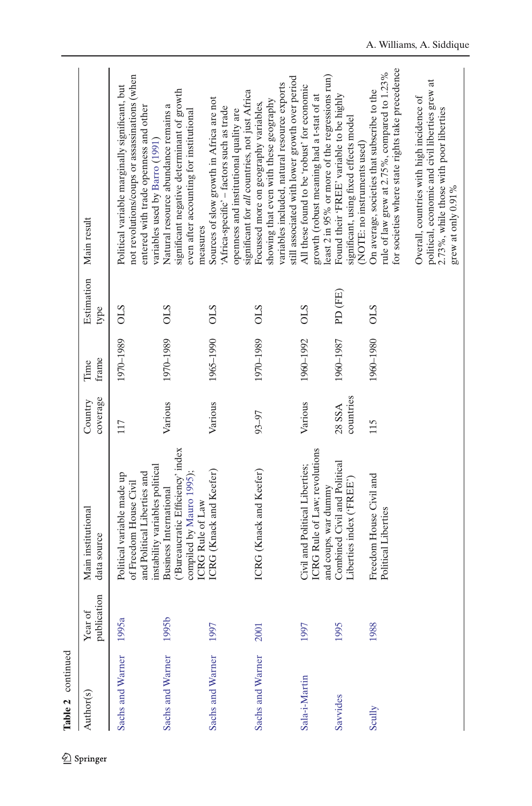| Table 2 continued |                        |                                                                                                                        |                     |               |                    |                                                                                                                                                                                   |
|-------------------|------------------------|------------------------------------------------------------------------------------------------------------------------|---------------------|---------------|--------------------|-----------------------------------------------------------------------------------------------------------------------------------------------------------------------------------|
| Author(s)         | publication<br>Year of | Main institutional<br>data source                                                                                      | coverage<br>Country | frame<br>Time | Estimation<br>type | Main result                                                                                                                                                                       |
| Sachs and Warner  | 1995a                  | instability variables political<br>and Political Liberties and<br>Political variable made up<br>of Freedom House Civil | 117                 | 1970-1989     | <b>OLS</b>         | not revolutions/coups or assassinations (when<br>Political variable marginally significant, but<br>entered with trade openness and other<br>variables used by Barro (1991)        |
| Sachs and Warner  | 1995b                  | ('Bureaucratic Efficiency' index<br>compiled by Mauro 1995);<br>Business International<br><b>ICRG</b> Rule of Law      | Various             | 1970-1989     | <b>OLS</b>         | significant negative determinant of growth<br>Natural resource abundance remains a<br>even after accounting for institutional<br>measures                                         |
| Sachs and Warner  | 1997                   | ICRG (Knack and Keefer)                                                                                                | Various             | 1965-1990     | <b>OLS</b>         | significant for all countries, not just Africa<br>Sources of slow growth in Africa are not<br>Africa-specific' - factors such as trade<br>openness and institutional quality are  |
| Sachs and Warner  | 2001                   | ICRG (Knack and Keefer)                                                                                                | 93-97               | 1970-1989     | <b>OLS</b>         | still associated with lower growth over period<br>variables included, natural resource exports<br>showing that even with these geography<br>Focussed more on geography variables, |
| Sala-i-Martin     | 1997                   | ICRG Rule of Law; revolutions<br>Civil and Political Liberties;<br>and coups, war dummy                                | Various             | 1960-1992     | <b>OLS</b>         | least 2 in 95% or more of the regressions run)<br>All these found to be 'robust' for economic<br>growth (robust meaning had a t-stat of at                                        |
| Savvides          | 1995                   | Combined Civil and Political<br>Liberties index ('FREE')                                                               | countries<br>28 SSA | 1960-1987     | PD (FE)            | Found their 'FREE' variable to be highly<br>significant, using fixed effects model<br>(NOTE: no instruments used)                                                                 |
| Scully            | 1988                   | Freedom House Civil and<br>Political Liberties                                                                         | 115                 | 1960-1980     | <b>OLS</b>         | for societies where state rights take precedence<br>rule of law grew at 2.75%, compared to 1.23%<br>On average, societies that subscribe to the                                   |
|                   |                        |                                                                                                                        |                     |               |                    | political, economic and civil liberties grew at<br>Overall, countries with high incidence of<br>2.73%, while those with poor liberties<br>grew at only 0.91%                      |

 $\underline{\textcircled{\tiny 2}}$  Springer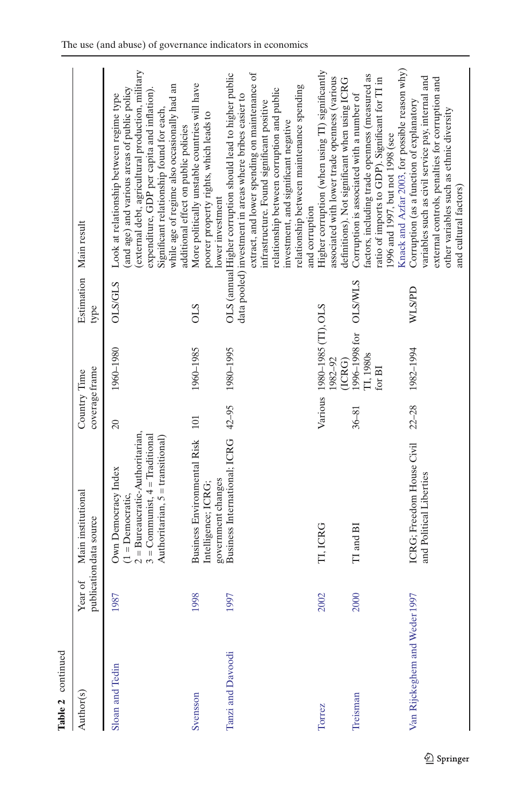| <b>Table 2</b> continued      |         |                                                                                                                                                           |                                |                                                        |                                |                                                                                                                                                                                                                                                                                                                                  |
|-------------------------------|---------|-----------------------------------------------------------------------------------------------------------------------------------------------------------|--------------------------------|--------------------------------------------------------|--------------------------------|----------------------------------------------------------------------------------------------------------------------------------------------------------------------------------------------------------------------------------------------------------------------------------------------------------------------------------|
| Author(s)                     | Year of | Main institutional<br>publication data source                                                                                                             | coverage frame<br>Country Time |                                                        | Estimation Main result<br>type |                                                                                                                                                                                                                                                                                                                                  |
| Sloan and Tedin               | 1987    | $2 = B$ ureaucratic-Authoritarian,<br>$3 =$ Communist, $4 =$ Traditional<br>Authoritarian, 5 = transitional)<br>Own Democracy Index<br>$(1 = Denocratic,$ | $\overline{20}$                | 1960-1980                                              | <b>OLS/GLS</b>                 | (external debt, agricultural production, military<br>while age of regime also occasionally had an<br>expenditure, GDP per capita and inflation).<br>(and age) and various areas of public policy<br>Look at relationship between regime type<br>Significant relationship found for each,<br>additional effect on public policies |
| Svensson                      | 1998    | <b>Business Environmental Risk</b><br>government changes<br>Intelligence; ICRG;                                                                           | 101                            | 1960-1985                                              | STO                            | More politically unstable countries will have<br>poorer property rights, which leads to<br>lower investment                                                                                                                                                                                                                      |
| Tanzi and Davoodi             | 1997    | Business International; ICRG 42-95                                                                                                                        |                                | 1980-1995                                              |                                | extract, and lower spending on maintenance of<br>OLS (annual Higher corruption should lead to higher public<br>relationship between corruption and public<br>data pooled) investment in areas where bribes easier to<br>infrastructure. Found significant positive<br>investment, and significant negative                       |
| Torrez                        | 2002    | TI, ICRG                                                                                                                                                  |                                | Various 1980-1985 (TI), OLS<br>1982-92                 |                                | Higher corruption (when using TI) significantly<br>associated with lower trade openness (various<br>relationship between maintenance spending<br>and corruption                                                                                                                                                                  |
| Treisman                      | 2000    | $\rm Tl$ and $\rm BI$                                                                                                                                     | $36 - 81$                      | 1996-1998 for OLS/WLS<br>II, 1980s<br>(ICRG)<br>for BI |                                | Knack and Azfar 2003, for possible reason why)<br>factors, including trade openness (measured as<br>definitions). Not significant when using ICRG<br>ratio of imports to GDP). Significant for TI in<br>Corruption is associated with a number of<br>1996 and 1997, but not 1998 (see                                            |
| Van Rijckeghem and Weder 1997 |         | ICRG: Freedom House Civil<br>and Political Liberties                                                                                                      | $22 - 28$                      | 1982-1994                                              | WLS/PD                         | variables such as civil service pay, internal and<br>external controls, penalties for corruption and<br>Corruption (as a function of explanatory<br>other variables such as ethnic diversity<br>and cultural factors)                                                                                                            |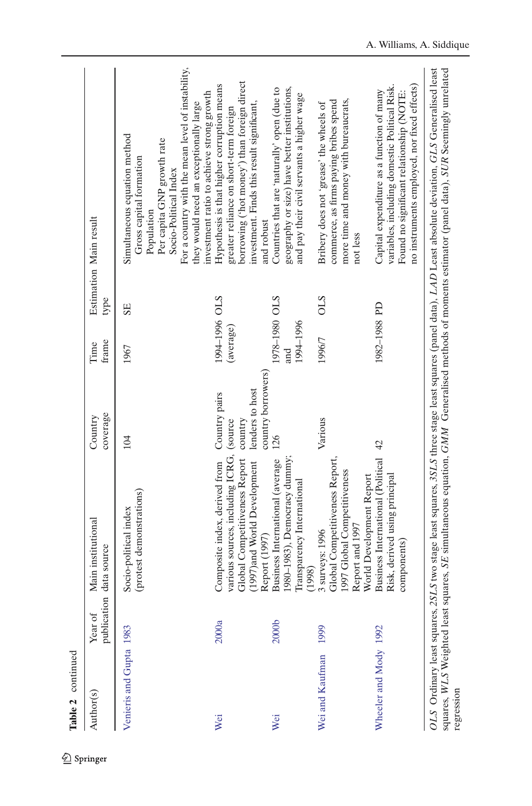| Table 2 continued                         |                        |                                                                                                                                                     |                                                                              |                                   |            |                                                                                                                                                                                                                                                                                     |
|-------------------------------------------|------------------------|-----------------------------------------------------------------------------------------------------------------------------------------------------|------------------------------------------------------------------------------|-----------------------------------|------------|-------------------------------------------------------------------------------------------------------------------------------------------------------------------------------------------------------------------------------------------------------------------------------------|
| Author(s)                                 | publication<br>Year of | Main institutional<br>data source                                                                                                                   | coverage<br>Country                                                          | frame<br>Time                     | type       | Estimation Main result                                                                                                                                                                                                                                                              |
| Venieris and Gupta 1983                   |                        | (protest demonstrations)<br>Socio-political index                                                                                                   | 104                                                                          | 1967                              | SE         | For a country with the mean level of instability,<br>investment ratio to achieve strong growth<br>they would need an exceptionally large<br>Simultaneous equation method<br>Per capita GNP growth rate<br>Gross capital formation<br>Socio-Political Index<br>Population            |
| Wei                                       | 2000a                  | various sources, including ICRG,<br>Global Competitiveness Report<br>(1997) and World Development<br>Composite index, derived from<br>Report (1997) | country borrowers)<br>lenders to host<br>Country pairs<br>country<br>(source | I994-1996 OLS<br>(average)        |            | borrowing ('hot money') than foreign direct<br>Hypothesis is that higher corruption means<br>investment. Finds this result significant,<br>greater reliance on short-term foreign<br>and robust                                                                                     |
| Wei                                       | 2000 <sub>b</sub>      | 1980-1983), Democracy dummy;<br>Business International (average<br>Transparency International<br>(3661)                                             | 126                                                                          | I978-1980 OLS<br>1994-1996<br>and |            | geography or size) have better institutions,<br>Countries that are 'naturally' open (due to<br>and pay their civil servants a higher wage                                                                                                                                           |
| Wei and Kaufman                           | 1999                   | Global Competitiveness Report,<br>1997 Global Competitiveness<br>World Development Report<br>Report and 1997<br>3 surveys: 1996                     | Various                                                                      | 1996/7                            | <b>OLS</b> | more time and money with bureaucrats,<br>commerce, as firms paying bribes spend<br>Bribery does not 'grease' the wheels of<br>not less                                                                                                                                              |
| Wheeler and Mody 1992                     |                        | Business International (Political<br>Risk, derived using principal<br>components                                                                    | $\overline{4}$                                                               | 1982-1988 PD                      |            | no instruments employed, nor fixed effects)<br>variables, including domestic Political Risk.<br>Capital expenditure as a function of many<br>Found no significant relationship (NOTE:                                                                                               |
| squares, WLS Weighted least<br>regression |                        |                                                                                                                                                     |                                                                              |                                   |            | OLS Ordinary least squares, 25LS two stage least squares, 35LS three stage least squares (panel data), LAD Least absolute deviation, GLS Generalised least<br>squares, SE simultaneous equation, GMM Generalised methods of moments estimator (panel data), SUR Seemingly unrelated |

 $\underline{\textcircled{\tiny 2}}$  Springer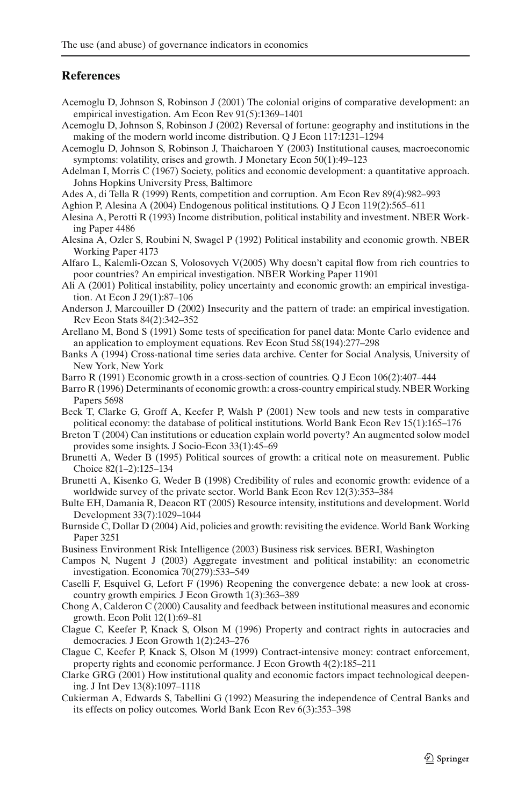### **References**

- <span id="page-40-7"></span>Acemoglu D, Johnson S, Robinson J (2001) The colonial origins of comparative development: an empirical investigation. Am Econ Rev 91(5):1369–1401
- <span id="page-40-11"></span>Acemoglu D, Johnson S, Robinson J (2002) Reversal of fortune: geography and institutions in the making of the modern world income distribution. Q J Econ 117:1231–1294
- <span id="page-40-4"></span>Acemoglu D, Johnson S, Robinson J, Thaicharoen Y (2003) Institutional causes, macroeconomic symptoms: volatility, crises and growth. J Monetary Econ 50(1):49–123
- <span id="page-40-3"></span>Adelman I, Morris C (1967) Society, politics and economic development: a quantitative approach. Johns Hopkins University Press, Baltimore

<span id="page-40-17"></span>Ades A, di Tella R (1999) Rents, competition and corruption. Am Econ Rev 89(4):982–993

- <span id="page-40-6"></span>Aghion P, Alesina A (2004) Endogenous political institutions. Q J Econ 119(2):565–611
- <span id="page-40-2"></span>Alesina A, Perotti R (1993) Income distribution, political instability and investment. NBER Working Paper 4486
- <span id="page-40-1"></span>Alesina A, Ozler S, Roubini N, Swagel P (1992) Political instability and economic growth. NBER Working Paper 4173
- Alfaro L, Kalemli-Ozcan S, Volosovych V(2005) Why doesn't capital flow from rich countries to poor countries? An empirical investigation. NBER Working Paper 11901
- Ali A (2001) Political instability, policy uncertainty and economic growth: an empirical investigation. At Econ J 29(1):87–106
- Anderson J, Marcouiller D (2002) Insecurity and the pattern of trade: an empirical investigation. Rev Econ Stats 84(2):342–352
- <span id="page-40-12"></span>Arellano M, Bond S (1991) Some tests of specification for panel data: Monte Carlo evidence and an application to employment equations. Rev Econ Stud 58(194):277–298
- Banks A (1994) Cross-national time series data archive. Center for Social Analysis, University of New York, New York
- <span id="page-40-0"></span>Barro R (1991) Economic growth in a cross-section of countries. Q J Econ 106(2):407–444
- Barro R (1996) Determinants of economic growth: a cross-country empirical study. NBER Working Papers 5698
- <span id="page-40-5"></span>Beck T, Clarke G, Groff A, Keefer P, Walsh P (2001) New tools and new tests in comparative political economy: the database of political institutions. World Bank Econ Rev 15(1):165–176
- Breton T (2004) Can institutions or education explain world poverty? An augmented solow model provides some insights. J Socio-Econ 33(1):45–69
- Brunetti A, Weder B (1995) Political sources of growth: a critical note on measurement. Public Choice 82(1–2):125–134
- Brunetti A, Kisenko G, Weder B (1998) Credibility of rules and economic growth: evidence of a worldwide survey of the private sector. World Bank Econ Rev 12(3):353–384
- Bulte EH, Damania R, Deacon RT (2005) Resource intensity, institutions and development. World Development 33(7):1029–1044
- Burnside C, Dollar D (2004) Aid, policies and growth: revisiting the evidence. World Bank Working Paper 3251
- Business Environment Risk Intelligence (2003) Business risk services. BERI, Washington
- <span id="page-40-14"></span><span id="page-40-8"></span>Campos N, Nugent J (2003) Aggregate investment and political instability: an econometric investigation. Economica 70(279):533–549
- <span id="page-40-13"></span>Caselli F, Esquivel G, Lefort F (1996) Reopening the convergence debate: a new look at crosscountry growth empirics. J Econ Growth 1(3):363–389
- <span id="page-40-16"></span>Chong A, Calderon C (2000) Causality and feedback between institutional measures and economic growth. Econ Polit 12(1):69–81
- <span id="page-40-9"></span>Clague C, Keefer P, Knack S, Olson M (1996) Property and contract rights in autocracies and democracies. J Econ Growth 1(2):243–276
- <span id="page-40-10"></span>Clague C, Keefer P, Knack S, Olson M (1999) Contract-intensive money: contract enforcement, property rights and economic performance. J Econ Growth 4(2):185–211
- <span id="page-40-15"></span>Clarke GRG (2001) How institutional quality and economic factors impact technological deepening. J Int Dev 13(8):1097–1118
- Cukierman A, Edwards S, Tabellini G (1992) Measuring the independence of Central Banks and its effects on policy outcomes. World Bank Econ Rev 6(3):353–398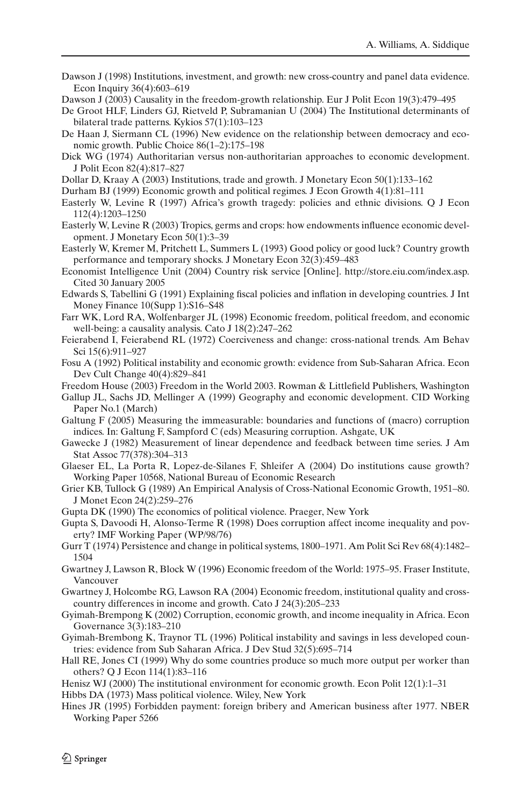- Dawson J (1998) Institutions, investment, and growth: new cross-country and panel data evidence. Econ Inquiry 36(4):603–619
- <span id="page-41-18"></span>Dawson J (2003) Causality in the freedom-growth relationship. Eur J Polit Econ 19(3):479–495
- De Groot HLF, Linders GJ, Rietveld P, Subramanian U (2004) The Institutional determinants of bilateral trade patterns. Kykios 57(1):103–123
- De Haan J, Siermann CL (1996) New evidence on the relationship between democracy and economic growth. Public Choice 86(1–2):175–198
- <span id="page-41-4"></span>Dick WG (1974) Authoritarian versus non-authoritarian approaches to economic development. J Polit Econ 82(4):817–827
- <span id="page-41-15"></span>Dollar D, Kraay A (2003) Institutions, trade and growth. J Monetary Econ 50(1):133–162
- <span id="page-41-8"></span>Durham BJ (1999) Economic growth and political regimes. J Econ Growth 4(1):81–111
- <span id="page-41-20"></span>Easterly W, Levine R (1997) Africa's growth tragedy: policies and ethnic divisions. Q J Econ 112(4):1203–1250
- <span id="page-41-16"></span>Easterly W, Levine R (2003) Tropics, germs and crops: how endowments influence economic development. J Monetary Econ 50(1):3–39
- <span id="page-41-24"></span>Easterly W, Kremer M, Pritchett L, Summers L (1993) Good policy or good luck? Country growth performance and temporary shocks. J Monetary Econ 32(3):459–483
- <span id="page-41-11"></span>Economist Intelligence Unit (2004) Country risk service [Online]. http://store.eiu.com/index.asp. Cited 30 January 2005
- <span id="page-41-1"></span>Edwards S, Tabellini G (1991) Explaining fiscal policies and inflation in developing countries. J Int Money Finance 10(Supp 1):S16–S48
- <span id="page-41-19"></span>Farr WK, Lord RA, Wolfenbarger JL (1998) Economic freedom, political freedom, and economic well-being: a causality analysis. Cato J 18(2):247–262
- <span id="page-41-3"></span>Feierabend I, Feierabend RL (1972) Coerciveness and change: cross-national trends. Am Behav Sci 15(6):911–927
- Fosu A (1992) Political instability and economic growth: evidence from Sub-Saharan Africa. Econ Dev Cult Change 40(4):829–841
- Freedom House (2003) Freedom in the World 2003. Rowman & Littlefield Publishers, Washington
- <span id="page-41-21"></span>Gallup JL, Sachs JD, Mellinger A (1999) Geography and economic development. CID Working Paper No.1 (March)
- <span id="page-41-10"></span>Galtung F (2005) Measuring the immeasurable: boundaries and functions of (macro) corruption indices. In: Galtung F, Sampford C (eds) Measuring corruption. Ashgate, UK
- <span id="page-41-23"></span>Gawecke J (1982) Measurement of linear dependence and feedback between time series. J Am Stat Assoc 77(378):304–313
- <span id="page-41-6"></span>Glaeser EL, La Porta R, Lopez-de-Silanes F, Shleifer A (2004) Do institutions cause growth? Working Paper 10568, National Bureau of Economic Research
- <span id="page-41-22"></span>Grier KB, Tullock G (1989) An Empirical Analysis of Cross-National Economic Growth, 1951–80. J Monet Econ 24(2):259–276
- <span id="page-41-2"></span>Gupta DK (1990) The economics of political violence. Praeger, New York
- <span id="page-41-12"></span>Gupta S, Davoodi H, Alonso-Terme R (1998) Does corruption affect income inequality and poverty? IMF Working Paper (WP/98/76)
- <span id="page-41-5"></span>Gurr T (1974) Persistence and change in political systems, 1800–1971. Am Polit Sci Rev 68(4):1482– 1504
- <span id="page-41-17"></span>Gwartney J, Lawson R, Block W (1996) Economic freedom of the World: 1975–95. Fraser Institute, Vancouver
- <span id="page-41-25"></span>Gwartney J, Holcombe RG, Lawson RA (2004) Economic freedom, institutional quality and crosscountry differences in income and growth. Cato J 24(3):205–233
- <span id="page-41-14"></span>Gyimah-Brempong K (2002) Corruption, economic growth, and income inequality in Africa. Econ Governance 3(3):183–210
- Gyimah-Brembong K, Traynor TL (1996) Political instability and savings in less developed countries: evidence from Sub Saharan Africa. J Dev Stud 32(5):695–714
- <span id="page-41-9"></span>Hall RE, Jones CI (1999) Why do some countries produce so much more output per worker than others? Q J Econ 114(1):83–116
- <span id="page-41-7"></span>Henisz WJ (2000) The institutional environment for economic growth. Econ Polit 12(1):1–31
- <span id="page-41-0"></span>Hibbs DA (1973) Mass political violence. Wiley, New York
- <span id="page-41-13"></span>Hines JR (1995) Forbidden payment: foreign bribery and American business after 1977. NBER Working Paper 5266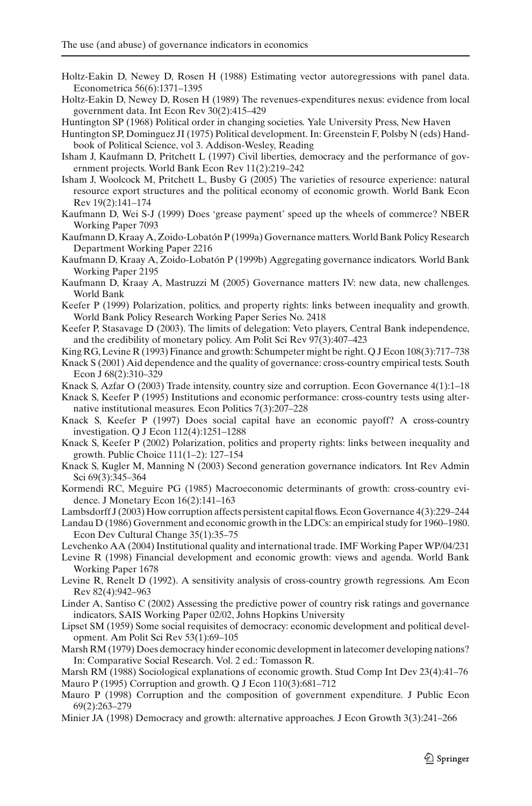- <span id="page-42-22"></span>Holtz-Eakin D, Newey D, Rosen H (1988) Estimating vector autoregressions with panel data. Econometrica 56(6):1371–1395
- <span id="page-42-23"></span>Holtz-Eakin D, Newey D, Rosen H (1989) The revenues-expenditures nexus: evidence from local government data. Int Econ Rev 30(2):415–429
- <span id="page-42-0"></span>Huntington SP (1968) Political order in changing societies. Yale University Press, New Haven

<span id="page-42-3"></span>Huntington SP, Dominguez JI (1975) Political development. In: Greenstein F, Polsby N (eds) Handbook of Political Science, vol 3. Addison-Wesley, Reading

<span id="page-42-10"></span>Isham J, Kaufmann D, Pritchett L (1997) Civil liberties, democracy and the performance of government projects. World Bank Econ Rev 11(2):219–242

- Isham J, Woolcock M, Pritchett L, Busby G (2005) The varieties of resource experience: natural resource export structures and the political economy of economic growth. World Bank Econ Rev 19(2):141–174
- Kaufmann D, Wei S-J (1999) Does 'grease payment' speed up the wheels of commerce? NBER Working Paper 7093
- <span id="page-42-16"></span>Kaufmann D, Kraay A, Zoido-Lobatón P (1999a) Governance matters.World Bank Policy Research Department Working Paper 2216
- <span id="page-42-14"></span>Kaufmann D, Kraay A, Zoido-Lobatón P (1999b) Aggregating governance indicators. World Bank Working Paper 2195
- <span id="page-42-17"></span>Kaufmann D, Kraay A, Mastruzzi M (2005) Governance matters IV: new data, new challenges. World Bank
- <span id="page-42-8"></span>Keefer P (1999) Polarization, politics, and property rights: links between inequality and growth. World Bank Policy Research Working Paper Series No. 2418
- <span id="page-42-7"></span>Keefer P, Stasavage D (2003). The limits of delegation: Veto players, Central Bank independence, and the credibility of monetary policy. Am Polit Sci Rev 97(3):407–423
- <span id="page-42-19"></span>King RG, Levine R (1993) Finance and growth: Schumpeter might be right. Q J Econ 108(3):717–738
- <span id="page-42-21"></span>Knack S (2001) Aid dependence and the quality of governance: cross-country empirical tests. South Econ J 68(2):310–329
- <span id="page-42-15"></span>Knack S, Azfar O (2003) Trade intensity, country size and corruption. Econ Governance 4(1):1–18
- <span id="page-42-2"></span>Knack S, Keefer P (1995) Institutions and economic performance: cross-country tests using alternative institutional measures. Econ Politics 7(3):207–228
- Knack S, Keefer P (1997) Does social capital have an economic payoff? A cross-country investigation. Q J Econ 112(4):1251–1288
- Knack S, Keefer P (2002) Polarization, politics and property rights: links between inequality and growth. Public Choice 111(1–2): 127–154
- <span id="page-42-18"></span>Knack S, Kugler M, Manning N (2003) Second generation governance indicators. Int Rev Admin Sci 69(3):345–364
- <span id="page-42-24"></span>Kormendi RC, Meguire PG (1985) Macroeconomic determinants of growth: cross-country evidence. J Monetary Econ 16(2):141–163
- Lambsdorff J (2003) How corruption affects persistent capital flows. Econ Governance 4(3):229–244
- <span id="page-42-5"></span>Landau D (1986) Government and economic growth in the LDCs: an empirical study for 1960–1980. Econ Dev Cultural Change 35(1):35–75
- Levchenko AA (2004) Institutional quality and international trade. IMF Working Paper WP/04/231
- <span id="page-42-20"></span>Levine R (1998) Financial development and economic growth: views and agenda. World Bank Working Paper 1678
- <span id="page-42-9"></span>Levine R, Renelt D (1992). A sensitivity analysis of cross-country growth regressions. Am Econ Rev 82(4):942–963
- <span id="page-42-12"></span>Linder A, Santiso C (2002) Assessing the predictive power of country risk ratings and governance indicators, SAIS Working Paper 02/02, Johns Hopkins University
- <span id="page-42-1"></span>Lipset SM (1959) Some social requisites of democracy: economic development and political development. Am Polit Sci Rev 53(1):69–105
- <span id="page-42-4"></span>Marsh RM (1979) Does democracy hinder economic development in latecomer developing nations? In: Comparative Social Research. Vol. 2 ed.: Tomasson R.
- <span id="page-42-6"></span>Marsh RM (1988) Sociological explanations of economic growth. Stud Comp Int Dev 23(4):41–76 Mauro P (1995) Corruption and growth. Q J Econ 110(3):681–712
- <span id="page-42-13"></span>Mauro P (1998) Corruption and the composition of government expenditure. J Public Econ 69(2):263–279
- <span id="page-42-11"></span>Minier JA (1998) Democracy and growth: alternative approaches. J Econ Growth 3(3):241–266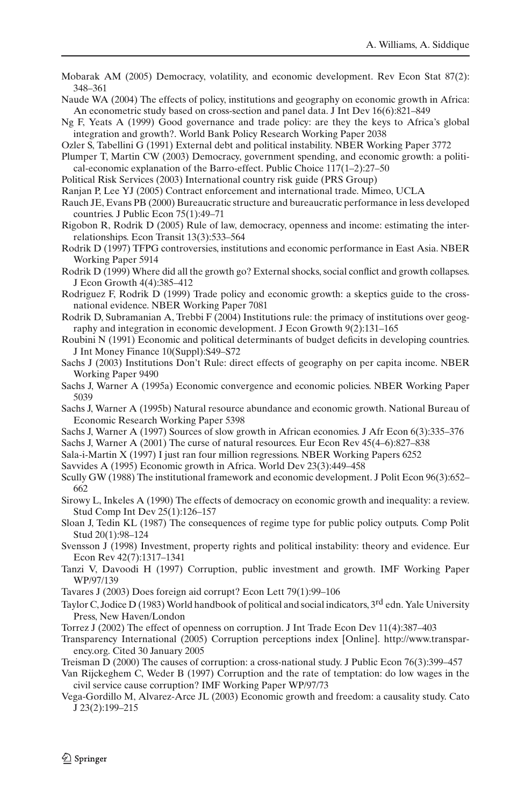- <span id="page-43-3"></span>Mobarak AM (2005) Democracy, volatility, and economic development. Rev Econ Stat 87(2): 348–361
- Naude WA (2004) The effects of policy, institutions and geography on economic growth in Africa: An econometric study based on cross-section and panel data. J Int Dev 16(6):821–849

<span id="page-43-15"></span>Ng F, Yeats A (1999) Good governance and trade policy: are they the keys to Africa's global integration and growth?. World Bank Policy Research Working Paper 2038

Ozler S, Tabellini G (1991) External debt and political instability. NBER Working Paper 3772

<span id="page-43-4"></span>Plumper T, Martin CW (2003) Democracy, government spending, and economic growth: a political-economic explanation of the Barro-effect. Public Choice 117(1–2):27–50

<span id="page-43-7"></span>Political Risk Services (2003) International country risk guide (PRS Group)

<span id="page-43-21"></span>Ranjan P, Lee YJ (2005) Contract enforcement and international trade. Mimeo, UCLA

- Rauch JE, Evans PB (2000) Bureaucratic structure and bureaucratic performance in less developed countries. J Public Econ 75(1):49–71
- <span id="page-43-22"></span>Rigobon R, Rodrik D (2005) Rule of law, democracy, openness and income: estimating the interrelationships. Econ Transit 13(3):533–564
- <span id="page-43-8"></span>Rodrik D (1997) TFPG controversies, institutions and economic performance in East Asia. NBER Working Paper 5914
- Rodrik D (1999) Where did all the growth go? External shocks, social conflict and growth collapses. J Econ Growth 4(4):385–412
- <span id="page-43-10"></span>Rodriguez F, Rodrik D (1999) Trade policy and economic growth: a skeptics guide to the crossnational evidence. NBER Working Paper 7081
- <span id="page-43-17"></span>Rodrik D, Subramanian A, Trebbi F (2004) Institutions rule: the primacy of institutions over geography and integration in economic development. J Econ Growth 9(2):131–165
- <span id="page-43-0"></span>Roubini N (1991) Economic and political determinants of budget deficits in developing countries. J Int Money Finance 10(Suppl):S49–S72
- Sachs J (2003) Institutions Don't Rule: direct effects of geography on per capita income. NBER Working Paper 9490
- <span id="page-43-6"></span>Sachs J, Warner A (1995a) Economic convergence and economic policies. NBER Working Paper 5039
- <span id="page-43-11"></span>Sachs J, Warner A (1995b) Natural resource abundance and economic growth. National Bureau of Economic Research Working Paper 5398
- Sachs J, Warner A (1997) Sources of slow growth in African economies. J Afr Econ 6(3):335–376
- Sachs J, Warner A (2001) The curse of natural resources. Eur Econ Rev 45(4–6):827–838
- <span id="page-43-9"></span>Sala-i-Martin X (1997) I just ran four million regressions. NBER Working Papers 6252
- <span id="page-43-19"></span>Savvides A (1995) Economic growth in Africa. World Dev 23(3):449–458
- <span id="page-43-5"></span>Scully GW (1988) The institutional framework and economic development. J Polit Econ 96(3):652– 662
- <span id="page-43-1"></span>Sirowy L, Inkeles A (1990) The effects of democracy on economic growth and inequality: a review. Stud Comp Int Dev 25(1):126–157
- <span id="page-43-2"></span>Sloan J, Tedin KL (1987) The consequences of regime type for public policy outputs. Comp Polit Stud 20(1):98–124
- <span id="page-43-13"></span>Svensson J (1998) Investment, property rights and political instability: theory and evidence. Eur Econ Rev 42(7):1317–1341
- <span id="page-43-14"></span>Tanzi V, Davoodi H (1997) Corruption, public investment and growth. IMF Working Paper WP/97/139
- Tavares J (2003) Does foreign aid corrupt? Econ Lett 79(1):99–106
- <span id="page-43-20"></span>Taylor C, Jodice D (1983) World handbook of political and social indicators, 3rd edn. Yale University Press, New Haven/London
- <span id="page-43-12"></span>Torrez J (2002) The effect of openness on corruption. J Int Trade Econ Dev 11(4):387–403
- Transparency International (2005) Corruption perceptions index [Online]. http://www.transparency.org. Cited 30 January 2005
- <span id="page-43-23"></span><span id="page-43-16"></span>Treisman D (2000) The causes of corruption: a cross-national study. J Public Econ 76(3):399–457
- Van Rijckeghem C, Weder B (1997) Corruption and the rate of temptation: do low wages in the civil service cause corruption? IMF Working Paper WP/97/73
- <span id="page-43-18"></span>Vega-Gordillo M, Alvarez-Arce JL (2003) Economic growth and freedom: a causality study. Cato J 23(2):199–215